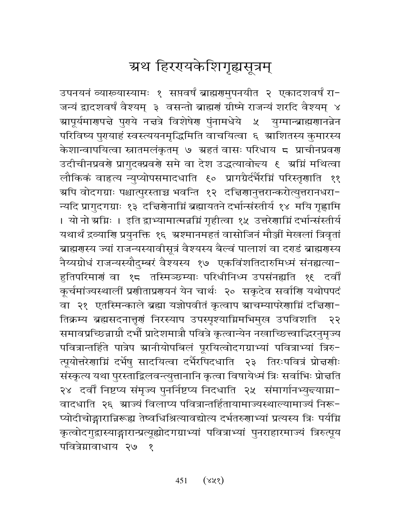# ग्रथ हिररयकेशिगृह्यसूत्रम्

उपनयनं व्याख्यास्यामः १ सप्तवर्षं ब्राह्मणमुपनयीत २ एकादशवर्षं रा-जन्यं द्वादशवर्षं वैश्यम् ३ वसन्तो ब्राह्मणं ग्रीष्मे राजन्यं शरदि वैश्यम् ४ ग्रापूर्यमारणपत्ते पुराये नत्तत्रे विशेषेर पुंनामधेये ५ युग्मान्ब्राह्मरणानन्नेन परिविष्य पुरायाहं स्वस्त्ययनमृद्धिमिति वाचयित्वा ६ श्राशितस्य कुमारस्य केशान्वापयित्वा स्नातमलंकृतम् ७ ग्रहतं वासः परिधाय ८ प्राचीनप्रवर्ग उदीचीनप्रवर्णे प्रागुदक्प्रवर्णे समे वा देश उद्धत्यावोद्त्य ६ अग्निं मथित्वा लौकिकं वाहृत्य न्युप्योपसमादधाति ६० प्रागग्रैर्दर्भैरग्निं परिस्तृणाति ११ ग्रपि वोदगग्राः पश्चात्पुरस्ताच्च भवन्ति १२ दचििणानुत्तरान्करोत्युत्तरानधरा− न्यदि प्रागुदगग्राः १३ दचिर्येनाग्निं ब्रह्मायतने दर्भान्संस्तीर्य १४ मयि गृह्णामि । यो नो ग्रग्निः । इति द्वाभ्यामात्मन्नग्निं गृहीत्वा १५ उत्तरेणाम्निं दर्भान्संस्तीर्य यथार्थं द्रव्याणि प्रयुनक्ति १६ अश्मानमहतं वासोजिनं मौञ्जीं मेखलां त्रिवृतां ब्राह्मगस्य ज्यां राजन्यस्यावीसूत्रं वैश्यस्य बैल्वं पालाशं वा दराडं ब्राह्मगस्य नैय्यग्रोधं राजन्यस्यौदुम्बरं वैश्यस्य १७ एकविंशतिदारुमिध्मं संनह्यत्या-हुतिपरिमाणं वा १८ तस्मिञ्छम्याः परिधीनिध्म उपसंनह्यति १६ दर्वीं कूर्चमांज्यस्थालीं प्रशीताप्रशयनं येन चार्थः २० सकृदेव सर्वाशि यथोपपदं वा २१ एतस्मिन्काले ब्रह्मा यज्ञोपवीतं कृत्वाप स्राचम्यापरेणाग्निं दत्तिणा-तिक्रम्य ब्रह्मसदनात्तृणं निरस्याप उपस्पृश्याग्निमभिमुख उपविशति २२ समावप्रच्छिन्नाग्रौ दभौँ प्रादेशमात्रौ पवित्रे कृत्वान्येन नखाच्छित्त्वाद्धिरनुमृज्य पवित्रान्तर्हिते पात्रेप स्रानीयोपबिलं पूरयित्वोदगग्राभ्यां पवित्राभ्यां त्रिरु-त्पूयोत्तरेणाम्निं दर्भेषु सादयित्वा दर्भैरपिदधाति २३ तिरःपवित्रं प्रोत्तर्णाः संस्कृत्य यथा पुरस्ताद्विलवन्त्युत्तानानि कृत्वा विषायेध्मं त्रिः सर्वाभिः प्रोच्चति २४ दर्वीं निष्टप्य संमृज्य पुनर्निष्टप्य निदधाति २५ संमार्गानभ्युन्त्याम्रा-वादधाति २६ ग्राज्यं विलाप्य पवित्रान्तर्हितायामाज्यस्थाल्यामाज्यं निरू-प्योदीचोङ्गारान्निरूह्य तेष्वधिश्रित्यावद्योत्य दर्भतरुणाभ्यां प्रत्यस्य त्रिः पर्यम्नि कृत्वोदगुद्रास्याङ्गारान्प्रत्यूह्योदगग्राभ्यां पवित्राभ्यां पुनराहारमाज्यं त्रिरुत्पूय पवित्रेग्नावाधाय २७ १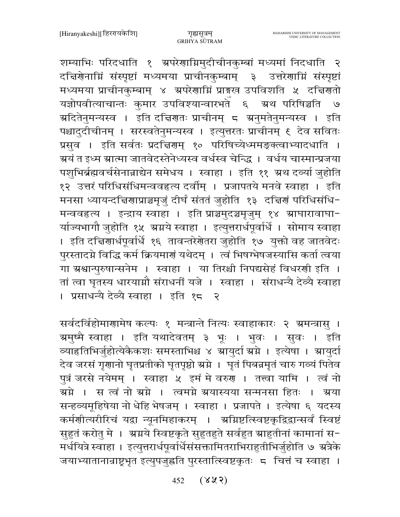शम्याभिः परिदधाति १ अपरेणाग्निमुदीचीनकुम्बां मध्यमां निदधाति २ दचिरोनामिं संस्पृष्टां मध्यमया प्राचीनकुम्बाम् ३ उत्तरेगामिं संस्पृष्टां मध्यमया प्राचीनकुम्बाम् ४ अपरेणाग्निं प्राङ्गस्व उपविशति ५ दत्तिरणतो यज्ञोपवीत्याचान्तः कुमार उपवि*श्या*न्वारभते ६ ग्रथ परिषिञ्चति ञ्चदितेनुमन्यस्व । इति दच्चिणतः प्राचीनम् ८ अनुमतेनुमन्यस्व । इति पश्चादुदीचीनम् । सरस्वतेनुमन्यस्व । इत्युत्तरतः प्राचीनम् ६ देव सवितः प्रसुव । इति सर्वतः प्रदत्तिराम् १० परिषिच्येध्ममङ्क्त्वाभ्यादधाति । ग्रयं त इध्म ग्रात्मा जातवेदस्तेनेध्यस्व वर्धस्व चेन्द्धि । वर्धय चास्मान्प्रजया पशुभिर्ब्रह्मवर्चसेनान्नाद्येन समेधय । स्वाहा । इति ११ ग्रथ दव्यां जुहोति १२) उत्तरं परिधिसंधिमन्ववहृत्य दर्वीम् । प्रजापतये मनवे स्वाहा । इति मनसा ध्यायन्दचिरणाप्राञ्चमृजुं दीर्घं संततं जुहोति १३ दचिर्गं परिधिसंधि-मन्ववहत्य । इन्द्राय स्वाहा । इति प्राञ्चमुदञ्चमृजुम् १४ स्राघारावाघा-र्याज्यभागौ जुहोति १५ भ्रमये स्वाहा । इत्युत्तरार्धपूर्वार्धे । सोमाय स्वाहा । इति दचिियार्धपूर्वार्धे १६ तावन्तरेयोतरा जुहोति १७ युक्तो वह जातवेदः पुरस्तादग्ने विद्धि कर्म क्रियमार्ग यथेदम् । त्वं भिषग्भेषजस्यासि कर्ता त्वया गा ग्रश्वान्पुरुषान्सनेम । स्वाहा । या तिरश्ची निपद्यसेहं विधरणी इति । तां त्वा घृतस्य धारयाग्नौ संराधनीं यजे । स्वाहा । संराधन्यै देव्यै स्वाहा । प्रसाधन्यै देव्यै स्वाहा । इति १८ २

सर्वदर्विहोमाणामेष कल्पः १ मन्त्रान्ते नित्यः स्वाहाकारः २ ग्रमन्त्रासु । ग्र्मुष्मै स्वाहा । इति यथादेवतम् ३ भूः । भुवः । सुवः । इति व्याहृतिभिर्जुहोत्येकैकशः समस्ताभिश्च ४ ग्रायुर्दा ग्रग्ने । इत्येषा । ग्रायुर्दा देव जरसं गृणानो घृतप्रतीको घृतपृष्ठो स्रग्ने । घृतं पिबन्नमृतं चारु गव्यं पितेव पुत्रं जरसे नयेमम् । स्वाहा ५ इमं मे वरुण । तत्त्वा यामि । त्वं नो ग्र्म्भे । स त्वं नो ग्रमे । त्वमग्ने ग्रयास्यया सन्मनसा हितः । ग्रया सन्हव्यमूहिषेया नो धेहि भेषजम् । स्वाहा । प्रजापते । इत्येषा ६ यदस्य कर्मणीत्यरीरिचं यद्वा न्यूनमिहाकरम् । भ्रम्रिष्टत्स्विष्टकृद्विद्वान्सर्वं स्विष्टं सुहुतं करोतु मे । ग्रग्नये स्विष्टकृते सुहुतहुते सर्वहुत ग्राहुतीनां कामानां स-मर्धयित्रे स्वाहा । इत्युत्तरार्धपूर्वार्धेसंसक्तामितराभिराहुतीभिर्जुहोति ७ ग्रत्रैके जयाभ्यातानान्राष्ट्रभृत इत्युपजुह्वति पुरस्तात्स्विष्टकृतः ८ चित्तं च स्वाहा ।

> $(XXS)$ 452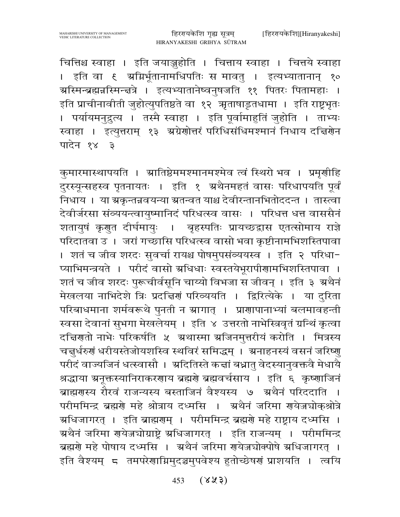चित्तिश्च स्वाहा । इति जयाञ्जुहोति । चित्ताय स्वाहा । चित्तये स्वाहा । इति वा ६ अग्निर्भूतानामधिपतिः स मावतु । इत्यभ्यातानान् १० ग्रस्मिन्ब्रह्मन्नस्मिन्द्वत्रे । इत्यभ्यातानेष्वनुषजति ११ पितरः पितामहाः । इति प्राचीनावीती जुहोत्युपतिष्ठते वा १२ ऋताषाड़तधामा । इति राष्ट्रभूतः । पर्यायमनुद्रुत्य । तस्मै स्वाहा । इति पूर्वामाहुतिं जुहोति । ताभ्यः स्वाहा । इत्युत्तराम् १३ अग्रेणोत्तरं परिधिसंधिमश्मानं निधाय दच्चिणेन पादेन १४ ३

कुमारमास्थापयति । स्रातिष्ठेममश्मानमश्मेव त्वं स्थिरो भव । प्रमृणीहि दुरस्यून्सहस्व पृतनायतः । इति १ अथैनमहतं वासः परिधापयति पूर्वं निधाय । या ग्रकृन्तन्नवयन्या ग्रतन्वत याश्च देवीरन्तानभितोददन्त । तास्त्वा देवीर्जरसा संव्ययन्त्वायुष्मानिदं परिधत्स्व वासः । परिधत्त धत्त वाससैनं शतायुषं कृणुत दीर्घमायुः । बृहस्पतिः प्रायच्छद्वास एतत्सोमाय राज्ञे परिदातवा उ । जरां गच्छासि परिधत्स्व वासो भवा कृष्टीनामभिशस्तिपावा । शतंं च जीव शरदः सुवर्चा रायश्च पोषमुपसंव्ययस्व । इति २ परिधा-प्याभिमन्त्रयते । परीदं वासो अधिधाः स्वस्तयेभूरापीणामभिशस्तिपावा । शतं च जीव शरदः पुरूचीर्वसूनि चाय्यो विभजा स जीवन् । इति ३ ग्रथैनं मेखलया नाभिदेशे त्रिः प्रदच्चिणं परिव्ययति । द्विरित्येके । या दुरिता परिबाधमाना शर्मवरूथे पुनती न स्रागात् । प्राणापानाभ्यां बलमावहन्ती स्वसा देवानां सुभगा मेखलेयम् । इति ४ उत्तरतो नाभेस्त्रिवृतं ग्रन्थिं कृत्वा दचिणतो नाभेः परिकर्षति ५ अथास्मा अजिनमृत्तरीयं करोति । मित्रस्य चन्नुर्धरुणं धरीयस्तेजोयशस्वि स्थविरं समिद्धम् । ग्रनाहनस्यं वसनं जरिष्णु परीदं वाज्यजिनं धत्स्वासौ । अदितिस्ते कच्चां बध्नातु वेदस्यानुवक्तवै मेधायै श्रद्धाया ग्रनूक्तस्यानिराकरणाय ब्रह्मणे ब्रह्मवर्चसाय । इति ६ कृष्णाजिनं ब्राह्मरास्य रौरवं राजन्यस्य बस्ताजिनं वैश्यस्य ७ ऋथैनं परिददाति । परीममिन्द्र ब्रह्मणे महे श्रोत्राय दध्मसि । अथैनं जरिमा णयेजचोकुश्रोत्रे अधिजागरत् । इति ब्राह्मणम् । परीममिन्द्र ब्रह्मणे महे राष्ट्राय दध्मसि । ग्रथैनं जरिमा रयेज्ज्ञयोग्राष्ट्रे ग्रधिजागरत् । इति राजन्यम् । परीममिन्द्र ब्रह्मणे महे पोषाय दध्मसि । अथैनं जरिमा णयेजन्योक्पोषे अधिजागरत् । इति वैश्यम् ८ तमपरेणाग्निमुदञ्चमुपवेश्य हुतोच्छेषणं प्राशयति । त्वयि

> $(XX3)$ 453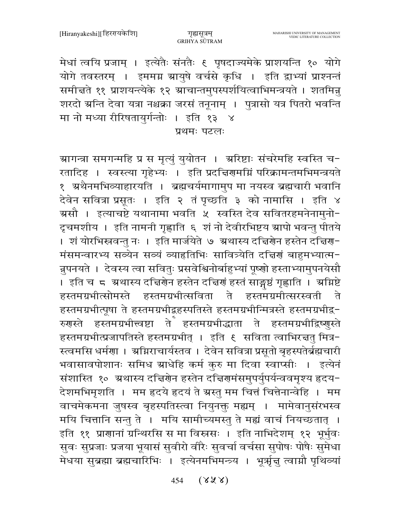मेधां त्वयि प्रजाम् । इत्येतैः संनतैः ६ पृषदाज्यमेके प्राशयन्ति १० योगे योगे तवस्तरम् । इममग्न स्रायुषे वर्चसे कृधि । इति द्वाभ्यां प्राश्नन्तं समीचते ११ प्राशयन्त्येके १२ ग्राचान्तमुपस्पर्शयित्वाभिमन्त्रयते । शतमिन्नु शरदो ग्रन्ति देवा यत्रा नश्चक्रा जरसं तनूनाम् । पुत्रासो यत्र पितरो भवन्ति मा नो मध्या रीरिषतायुर्गन्तोः । इति १३ ४ प्रथमः पटलः

ग्रागन्त्रा समगन्महि प्र स मृत्युं युयोतन । अरिष्टाः संचरेमहि स्वस्ति च-रतादिह । स्वस्त्या गृहेभ्यः । इति प्रदच्चिरामग्निं परिक्रामन्तमभिमन्त्रयते १ अथैनमभिव्याहारयति । ब्रह्मचर्यमागामुप मा नयस्व ब्रह्मचारी भवानि देवेन सवित्रा प्रसूतः । इति २ तं पृच्छति ३ को नामासि । इति ४ ग्रसौ । इत्याचष्टे यथानामा भवति ५ स्वस्ति देव सवितरहमनेनामुनो-दृचमशीय । इति नामनी गृह्णाति ६ शं नो देवीरभिष्टय स्रापो भवन्तु पीतये । शं योरभिस्नवन्तु नः । इति मार्जयेते ७ अथास्य दच्चिर्णेन हस्तेन दच्चिण-मंसमन्वारभ्य सव्येन सव्यं व्याहृतिभिः सावित्र्येति दच्चिणं बाहुमभ्यात्म-न्नुपनयते । देवस्य त्वा सवितुः प्रसवेश्विनोर्बाहुभ्यां पूष्णो हस्ताभ्यामुपनयेसौ । इति च ८ अथास्य दचिर्णन हस्तेन दचिर्ण हस्तं साङ्गष्ठं गृह्णाति । अभिष्टे हस्तमग्रभीत्सोमस्ते हस्तमग्रभीत्सविता ते हस्तमंग्रमीत्सरस्वती हस्तमग्रभीत्पूषा ते हस्तमग्रभीद्वहस्पतिस्ते हस्तमग्रभीन्मित्रस्ते हस्तमग्रभीद्र-रुणस्ते हस्तमग्रभीत्त्वष्टा ते हस्तमग्रभीद्धाता ते हस्तमग्रभीद्विष्णुस्ते स्त्वमसि धर्मणा । अग्निराचार्यस्तव । देवेन सवित्रा प्रसूतो बृहस्पतेर्ब्रह्मचारी भवासावपोशानः समिध स्राधेहि कर्म कुरु मा दिवा स्वाप्सीः । इत्येनं संशास्ति १० अथास्य दच्चिर्णेन हस्तेन दच्चिर्णमंसमुपर्युपर्यन्ववमृश्य हृदय-देशमभिमृशति । मम हृदये हृदयं ते ग्रस्तु मम चित्तं चित्तेनान्वेहि । मम वाचमेकमना जुषस्व बृहस्पतिस्त्वा नियुनक्तु मह्यम् । मामेवानुसंरभस्व मयि चित्तानि सन्तु ते । मयि सामीच्यमस्तु ते मह्यं वाचं नियच्छतात् । इति ११ प्राणानां ग्रन्थिरसि स मा विस्तसः । इति नाभिदेशम् १२ भूर्भुवः सुवः सुप्रजाः प्रजया भूयासं सुवीरो वीरैः सुवर्चा वर्चसा सुपोषः पोषैः सुमेधा मेधया सुब्रह्मा ब्रह्मचारिभिः । इत्येनमभिमन्त्र्य । भूर्ऋन् त्वाग्नौ पृथिव्यां

> $(XXX)$ 454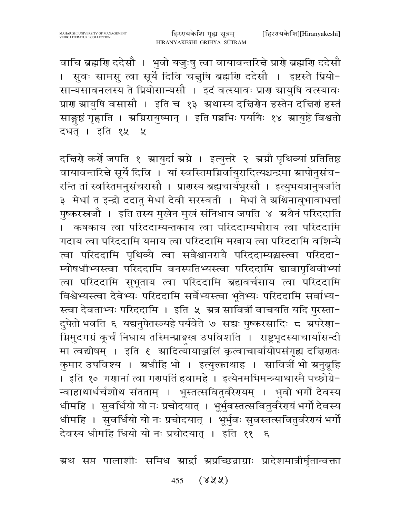वाचि ब्रह्मणि ददेसौ । भुवो यजुःषु त्वा वायावन्तरित्ते प्राणे ब्रह्मणि ददेसौ । सुवः सामसु त्वा सूर्ये दिवि चत्तुषि ब्रह्मणि ददेसौ । इष्टस्ते प्रियो-सान्यसावनलस्य ते प्रियोसान्यसौ । इदं वत्स्यावः प्राण ग्रायुषि वत्स्यावः प्राण स्रायुषि वसासौ । इति च १३ स्रथास्य दचिरणेन हस्तेन दचिरणं हस्तं साङ्गष्ठं गृह्णाति । अग्निरायुष्मान् । इति पञ्चभिः पर्यायैः १४ आयुष्टे विश्वतो दधत् । इति १५ ५

दच्चिणे कर्णे जपति १ स्रायुर्दा स्रग्ने । इत्युत्तरे २ स्रग्नौ पृथिव्यां प्रतितिष्ठ वायावन्तरित्ते सूर्ये दिवि । यां स्वस्तिमग्निर्वायुरादित्यश्चन्द्रमा ग्रापोनुसंच-रन्ति तां स्वस्तिमनुसंचरासौ । प्राणस्य ब्रह्मचार्यभूरसौ । इत्युभयत्रानुषजति ३ मेधां त इन्द्रो ददातु मेधां देवी सरस्वती । मेधां ते ग्रश्विनावुभावाधत्तां पुष्करस्रजौ । इति तस्य मुखेन मुखं संनिधाय जपति ४ अथैनं परिददाति । कषकाय त्वा परिददाम्यन्तकाय त्वा परिददाम्यघोराय त्वा परिददामि गदाय त्वा परिददामि यमाय त्वा परिददामि मखाय त्वा परिददामि वशिन्यै त्वा परिददामि पृथिव्यै त्वा सवैश्वानरायै परिददाम्यद्यस्त्वा परिददा-म्योषधीभ्यस्त्वा परिददामि वनस्पतिभ्यस्त्वा परिददामि द्यावापृथिवीभ्यां त्वा परिददामि सुभूताय त्वा परिददामि ब्रह्मवर्चसाय त्वा परिददामि विश्वेभ्यस्त्वा देवेभ्यः परिददामि सर्वेभ्यस्त्वा भूतेभ्यः परिददामि सर्वाभ्य-स्त्वा देवताभ्यः परिददामि । इति ५ अत्र सावित्रीं वाचयति यदि पुरस्ता-दुपेतो भवति ६ यद्यनुपेतस्त्र्यहे पर्यवेते ७ सद्यः पुष्करसादिः ८ अपरेणा-ग्निमुदगग्रं कूर्चं निधाय तस्मिन्प्राङ्मख उपविशति । राष्ट्रभुदस्याचार्यासन्दी मा त्वद्योषम् । इति ६ ग्रादित्यायाञ्जलिं कृत्वाचार्यायोपसंगृह्य दत्तिरातः कुमार उपविश्य । अ्रधीहि भो । इत्युत्काथाह । सावित्रीं भो ग्रनुब्रूहि । इति १० गणानां त्वा गणपतिं हवामहे । इत्येनमभिमन्त्र्याथास्मै पच्छोग्रे-न्वाहाथार्धर्चशोथ संतताम् । भूस्तत्सवितुर्वरेरायम् । भुवो भर्गो देवस्य धीमहि । सुवर्धियो यो नः प्रचोदयात् । भूर्भुवस्तत्सवितुर्वरेगयं भर्गो देवस्य धीमहि । सुवर्धियो यो नः प्रचोदयात् । भूर्भुवः सुवस्तत्सवितुर्वरेरायं भर्गो देवस्य धीमहि धियो यो नः प्रचोदयात् । इति ११ ६

ग्रथ सप्त पालाशीः समिध ग्रार्द्रा ग्रप्रच्छिन्नाग्राः प्रादेशमात्रीर्घृतान्वक्ता

 $(xx)$ 455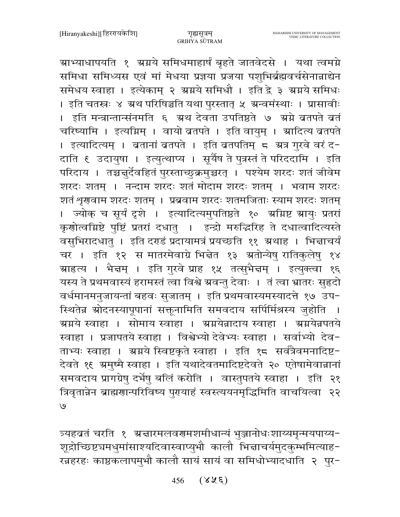ग्राभ्याधापयति १ ग्रग्नये समिधमाहार्षं बृहते जातवेदसे । यथा त्वमग्ने समिधा समिध्यस एवं मां मेधया प्रज्ञया प्रजया पशुभिर्ब्रह्मवर्चसेनान्नाद्येन समेधय स्वाहा । इत्येकाम् २ ग्रग्नये समिधौ । इति द्वे ३ ग्रग्नये समिधः । इति चतस्त्रः ४ ग्रथ परिषिञ्चति यथा पुरस्तात् ५ ग्रन्वमंस्थाः । प्रासावीः । इति मन्त्रान्तान्संनमति ६ ग्रथ देवता उपतिष्ठते ७ ग्रये बतपते बतं चरिष्यामि । इत्यग्निम् । वायो ब्रतपते । इति वायुम् । स्रादित्य ब्रतपते । इत्यादित्यम् । ब्रतानां ब्रतपते । इति ब्रतपतिम् ८ अत्र गुरवे वरं द-दाति ६ उदायुषा । इत्युत्थाप्य । सूर्यैष ते पुत्रस्तं ते परिददामि । इति परिदाय । तच्चेन्नुर्देवहितं पुरस्ताच्छुक्रमुच्चरत् । पश्येम शरदः शतं जीवेम शरदः शतम् । नन्दाम शरदः शतं मोदाम शरदः शतम् । भवाम शरदः शतं शृणवाम शरदः शतम् । प्रब्रवाम शरदः शतमजिताः स्याम शरदः शतम् । ज्योक् च सूर्यं दृशे । इत्यादित्यमुपतिष्ठते १० ग्रम्रिष्ट ग्रायुः प्रतरां कृणोत्वम्निष्टे पुष्टिं प्रतरां दधातु । इन्द्रो मरुद्धिरिह ते दधात्वादित्यस्ते वसुभिरादधातु । इति दराडं प्रदायामत्रं प्रयच्छति ११ अथाह । भिन्नाचर्यं चर । इति १२ स मातरमेवाग्रे भिन्नेत १३ अतोन्येषु रातिकुलेषु १४ ग्र्याहत्य । भैन्नम् । इति गुरवे प्राह १५ तत्सुभैन्नम् । इत्युक्त्वा १६ यस्य ते प्रथमवास्यं हरामस्तं त्वा विश्वे ग्रवन्तु देवाः । तं त्वा भ्रातरः सुहृदो वर्धमानमनुजायन्तां बहवः सुजातम् । इति प्रथमवास्यमस्यादत्ते १७ उप− स्थितेन्न स्रोदनस्यापूपानां सक्तूनामिति समवदाय सर्पिर्मिश्रस्य जुहोति । ग्रग्नये स्वाहा । सोमाय स्वाहा । ग्रग्नयेन्नादाय स्वाहा । ग्रग्नयेन्नपतये स्वाहा । प्रजापतये स्वाहा । विश्वेभ्यो देवेभ्यः स्वाहा । सर्वाभ्यो देव-ताभ्यः स्वाहा । ग्रग्नये स्विष्टकृते स्वाहा । इति १८ सर्वत्रैवमनादिष्ट-देवते १६ ग्रमुष्मै स्वाहा । इति यथादेवतमादिष्टदेवते २० एतेषामेवान्नानां समवदाय प्रागग्रेषु दर्भेषु बलिं करोति । वास्तुपतये स्वाहा । इति २१ त्रिवृतान्नेन ब्राह्मणान्परिविष्य पुरायाहं स्वस्त्ययनमृद्धिमिति वाचयित्वा २२  $\mathcal{O}$ 

त्र्यहबतं चरति १ ग्रज्ञारमलवरणमशमीधान्यं भुञ्जानोधःशाय्यमृन्मयपाय्य-शूद्रोच्छिष्ट्यमधुमांसाश्यदिवास्वाप्युभौ कालौ भिज्ञाचर्यमुदकुम्भमित्याह− रन्नहरहः काष्ठकलापमुभौ कालौ सायं सायं वा समिधोभ्यादधाति २ पुर-

> $(SX\xi)$ 456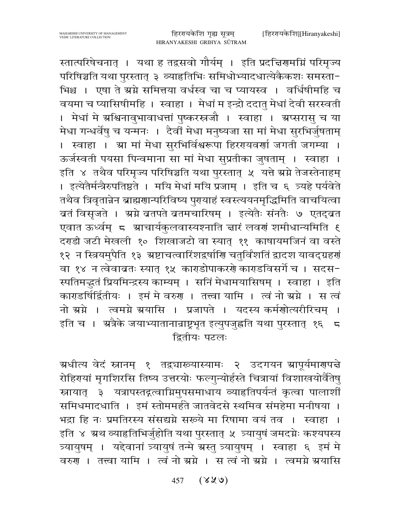स्तात्परिषेचनात् । यथा ह तद्वसवो गौर्यम् । इति प्रदत्तिरामग्निं परिमृज्य परिषिञ्चति यथा पुरस्तात् ३ व्याहृतिभिः समिधोभ्यादधात्येकैकशः समस्ता-भिश्च । एषा ते ग्रग्ने समित्तया वर्धस्व चा च प्यायस्व । वर्धिषीमहि च वयमा च प्यासिषीमहि । स्वाहा । मेधां म इन्द्रो ददातु मेधां देवी सरस्वती । मेधां मे ग्रश्चिनावृभावाधत्तां पुष्करस्रजौ । स्वाहा । ग्रप्सरासु च या मेधा गन्धर्वेषु च यन्मनः । दैवीं मेधा मनुष्यजा सा मां मेधा सुरभिर्जुषताम् । स्वाहा । स्रा मां मेधा सुरभिर्विश्वरूपा हिररयवर्णा जगती जगम्या । ऊर्जस्वती पयसा पिन्वमाना सा मां मेधा सुप्रतीका जुषताम् । स्वाहा । इति ४ तथैव परिमृज्य परिषिञ्चति यथा पुरस्तात् ५ यत्ते स्रग्ने तेजस्तेनाहम् । इत्येतैर्मन्त्रैरुपतिष्ठते । मयि मेधां मयि प्रजाम् । इति च ६ त्र्यहे पर्यवेते तथैव त्रिवृतान्नेन ब्राह्मणान्परिविष्य पुरायाहं स्वस्त्ययनमृद्धिमिति वाचयित्वा ब्रतं विसृजते । अ्रग्ने ब्रतपते ब्रतमचारिषम् । इत्येतैः संनतैः ७ एतद्ब्रत एवात ऊर्ध्वम् ८ ग्राचार्यकुलवास्यश्नाति चारं लवणं शमीधान्यमिति ६ दराडी जटी मेखली १० शिखाजटो वा स्यात् ११ काषायमजिनं वा वस्ते १२ न स्त्रियमुपैति १३ ग्रष्टाचत्वारिंशद्वर्षाणि चतुर्विंशतिं द्वादश यावद्ग्रहणं वा १४ न त्वेवाबतः स्यात् १५ कारडोपाकररो कारडविसर्गे च । सदस− स्पतिमद्भुतं प्रियमिन्द्रस्य काम्यम् । सनिं मेधामयासिषम् । स्वाहा । इति काराडर्षिर्द्वितीयः । इमं मे वरुरा । तत्त्वा यामि । त्वं नो ग्रग्ने । स त्वं नो अग्ने । त्वमग्ने अयासि । प्रजापते । यदस्य कर्मणोत्यरीरिचम् । इति च । अत्रैके जयाभ्यातानान्राष्ट्रभूत इत्युपजुह्वति यथा पुरस्तात् १६ = ८ द्वितीयः पटलः

ग्रधीत्य वेदं स्नानम् १ तद्व्याख्यास्यामः २ उदगयन ग्रापूर्यमारण्पत्ते रोहिरायां मृगशिरसि तिष्य उत्तरयोः फल्गुन्योर्हस्ते चित्रायां विशाखयोर्वैतेषु स्नायात् ३ यत्रापस्तद्गत्वाग्निमुपसमाधाय व्याहृतिपर्यन्तं कृत्वा पालाशीं समिधमादधाति । इमं स्तोममर्हते जातवेदसे स्थमिव संमहेमा मनीषया । भद्रा हि नः प्रमतिरस्य संसद्यग्ने सरूये मा रिषामा वयं तव । स्वाहा । इति ४ अ्रथ व्याहृतिभिर्जुहोति यथा पुरस्तात् ५ त्र्यायुषं जमदग्नेः कश्यपस्य त्र्यायुषम् । यद्देवानां त्र्यायुषं तन्मे ग्रस्तु त्र्यायुषम् । स्वाहा ६ इमं मे वरुण । तत्त्वा यामि । त्वं नो ग्रग्ने । स त्वं नो ग्रग्ने । त्वमग्ने ग्रयासि

> $(880)$ 457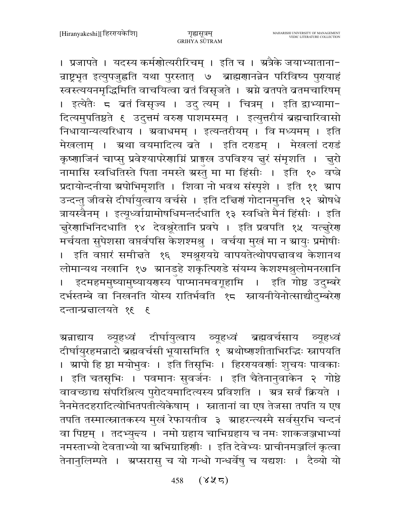। प्रजापते । यदस्य कर्मणोत्यरीरिचम् । इति च । ग्रत्रैके जयाभ्याताना-न्राष्ट्रभृत इत्युपजुह्वति यथा पुरस्तात् ७ ब्राह्मणानन्नेन परिविष्य पुरायाहं स्वस्त्ययनमृद्धिमिति वाचयित्वा बतं विसृजते । अग्ने ब्रतपते ब्रतमचारिषम् । इत्येतैः ८ व्रतं विसृज्य । उदु त्यम् । चित्रम् । इति द्वाभ्यामा-दित्यमुपतिष्ठते ६ उदुत्तमं वरुण पाशमस्मत् । इत्युत्तरीयं ब्रह्मचारिवासो निधायान्यत्यरिधाय । ग्रवाधमम् । इत्यन्तरीयम् । वि मध्यमम् । इति मेखलाम् । ग्रथा वयमादित्य ब्रते । इति दराडम् । मेखलां दराडं कृष्णाजिनं चाप्स् प्रवेश्यापरेणामिं प्राङ्मख उपविश्य नुरं संमृशति । नुरो नामासि स्वधितिस्ते पिता नमस्ते ग्रस्तु मा मा हिंसीः । इति १० वर्ष्त्रे प्रदायोन्दनीया ग्रपोभिमृशति । शिवा नो भवथ संस्पृशे । इति ११ ग्राप उन्दन्तु जीवसे दीर्घायुत्वाय वर्चसे । इति दच्चिणं गोदानमुनत्ति १२ स्रोषधे त्रायस्वैनम् । इत्यूर्ध्वाग्रामोषधिमन्तर्दधाति १३ स्वधिते मैनं हिंसीः । इति चुरेणाभिनिदधाति १४ देवश्रूरेतानि प्रवपे । इति प्रवपति १५ यत्ज़ुरेण मर्चयता सुपेशसा वप्तर्वपसि केशश्मश्रु । वर्चया मुखं मा न म्रायुः प्रमोषीः । इति वसारं समीचते १६ श्मश्रूययग्रे वापयतेत्थोपपचावथ केशानथ लोमान्यथ नखानि १७ म्रानडहे शकुत्पिराडे संयम्य केशश्मश्रुलोमनखानि । इदमहममुष्यामुष्यायरणस्य पाप्मानमवगूहामि । इति गोष्ठ उदुम्बरे दर्भस्तम्बे वा निखनति योस्य रातिर्भवति १८ स्नायनीयेनोत्साद्यौदुम्बरेण दन्तान्प्रचालयते १६ ह

व्यूहध्वं दीर्घायुत्वाय व्यूहध्वं ब्रह्मवर्चसाय व्यूहध्वं ग्रन्नाद्याय दीर्घायुरहमन्नादो ब्रह्मवर्चसी भूयासमिति १ अथोष्णशीताभिरद्धिः स्नापयति । स्रापो हि ष्ठा मयोभुवः । इति तिसृभिः । हिररायवर्णाः शुचयः पावकाः । इति चतसृभिः । पवमानः सुवर्जनः । इति चैतेनानुवाकेन २ गोष्ठे वावच्छाद्य संपरिश्रित्य पुरोदयमादित्यस्य प्रविशति । अत्र सर्वं क्रियते । नैनमेतदहरादित्योभितपतीत्येकेषाम् । स्नातानां वा एष तेजसा तपति य एष तपति तस्मात्स्नातकस्य मुखं रेफायतीव ३ म्राहरन्त्यस्मै सर्वसुरभि चन्दनं वा पिष्टम् । तदभ्युन्त्य । नमो ग्रहाय चाभिग्रहाय च नमः शाकजञ्जभाभ्यां नमस्ताभ्यो देवताभ्यो या ग्रभिग्राहिणीः । इति देवेभ्यः प्राचीनमञ्जलिं कृत्वा तेनानुलिम्पते । ग्रप्सरासु च यो गन्धो गन्धर्वेषु च यद्यशः । दैव्यो यो

> 458  $(825)$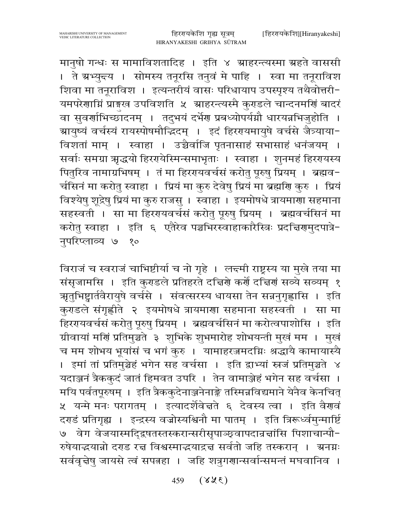मानुषो गन्धः स मामाविशतादिह । इति ४ ग्राहरन्त्यस्मा ग्रहते वाससी । ते ग्रभ्युन्त्य । सोमस्य तनूरसि तनुवं मे पाहि । स्वा मा तनूराविश शिवा मा तनूराविश । इत्यन्तरीयं वासः परिधायाप उपस्पृश्य तथैवोत्तरी-यमपरेणामिं प्राङ्गख उपविशति ५ स्राहरन्त्यस्मै कुराडले चान्दनमर्णि बादरं वा सुवर्णाभिच्छादनम् । तदुभयं दर्भेण प्रबध्योपर्यग्नौ धारयन्नभिजुहोति । ग्रायुष्यं वर्चस्यं रायस्पोषमौद्धिदम् । इदं हिररयमायुषे वर्चसे जैत्र्याया-विशतां माम् । स्वाहा । उच्चैर्वाजि पृतनासाहं सभासाहं धनंजयम् । सर्वाः समग्रा ऋद्धयो हिररपयेस्मिन्समाभृताः । स्वाहा । शुनमहं हिररपयस्य पितुरिव नामाग्रभिषम् । तं मा हिररयवर्चसं करोतु पूरुषु प्रियम् । ब्रह्मव-र्चसिनं मा करोतु स्वाहा । प्रियं मा कुरु देवेषु प्रियं मा ब्रह्मणि कुरु । प्रियं विश्येषु शूद्रेषु प्रियं मा कुरु राजसु । स्वाहा । इयमोषधे त्रायमाणा सहमाना सहस्वती । सा मा हिररयवर्चसं करोतु पूरुषु प्रियम् । ब्रह्मवर्चसिनं मा करोतु स्वाहा । इति ६ एतैरेव पञ्चभिरस्वाहाकारैस्त्रिः प्रदत्तिरामुदपात्रे-नपरिप्लाव्य ७  $80<sub>o</sub>$ 

विराजं च स्वराजं चाभिष्टीर्या च नो गृहे । लन्दमी राष्ट्रस्य या मुखे तया मा संसृजामसि । इति कुराडले प्रतिहरते दच्चिर्णे कर्णे दच्चिणं सव्ये सव्यम् १ ऋतुभिष्ट्वार्तवैरायुषे वर्चसे । संवत्सरस्य धायसा तेन सन्ननुगृह्णासि । इति कुराडले संगृह्णीते २ इयमोषधे त्रायमार्णा सहमाना सहस्वती । सा मा \_<br>हिररयवर्चसं करोतु पूरुषु प्रियम् । ब्रह्मवर्चसिनं मा करोत्वपाशोसि । इति ग्रीवायां मणिं प्रतिमुञ्चते ३ शुभिके शुभमारोह शोभयन्ती मुखं मम । मुखं च मम शोभय भूयांसं च भगं कुरु । यामाहरज़मदग्निः श्रद्धायै कामायास्यै । इमां तां प्रतिमुञ्चेहं भगेन सह वर्चसा । इति द्वाभ्यां स्त्रजं प्रतिमुञ्चते ४ यदाञ्जनं त्रैककुदं जातं हिमवत उपरि । तेन वामाञ्जेहं भगेन सह वर्चसा । मयि पर्वतपूरुषम् । इति त्रैककुदेनाञ्जनेनाङ्के तस्मिन्नविद्यमाने येनैव केनचित् ५ यन्मे मनः परागतम् । इत्यादर्शेवेत्तते ६ देवस्य त्वा । इति वैशवं दराडं प्रतिगृह्य । इन्द्रस्य वज्रोस्यश्विनौ मा पातम् । इति त्रिरूर्ध्वमुन्मार्ष्टि ७ वेग वेजयास्मदि्द्रषतस्तस्करान्सरीसृपाञ्छ्वापदान्रज्ञांसि पिशाचान्पौ-रुषेयाद्धयान्नो दराड रच्च विश्वस्माद्धयाद्रच सर्वतो जहि तस्करान् । अनग्नः सर्ववृत्तेषु जायसे त्वं सपतहा । जहि शत्रुगणान्सर्वान्समन्तं मघवानिव ।

> 459  $(388)$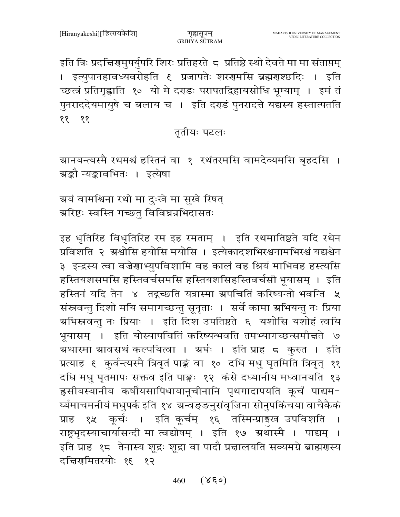इति त्रिः प्रदच्चिर्यामुपर्युपरि शिरः प्रतिहरते ८ प्रतिष्ठे स्थो देवते मा मा संताप्तम् । इत्युपानहावध्यवरोहति ६ प्रजापतेः शरणमसि ब्रह्मणश्छदिः । इति च्छत्त्रं प्रतिगृह्णाति १० यो मे दराडः परापतद्विहायसोधि भूम्याम् । इमं तं पुनराददेयमायुषे च बलाय च । इति दराडं पुनरादत्ते यद्यस्य हस्तात्पतति ११ ११

तृतीयः पटलः

ग्रानयन्त्यस्मै रथमश्वं हस्तिनं वा १ रथंतरमसि वामदेव्यमसि बृहदसि । ग्रङ्कौ न्यङ्कावभितः । इत्येषा

ग्रयं वामश्विना रथो मा दुःखे मा सुखे रिषत् ग्ररिष्टः स्वस्ति गच्छ्तु विविघ्नन्नभिदासतः

इह धृतिरिह विधृतिरिह रम इह रमताम् । इति रथमातिष्ठते यदि रथेन प्रविशति २ अश्वोसि हयोसि मयोसि । इत्येकादशभिरश्वनामभिरश्वं यद्यश्वेन ३ इन्द्रस्य त्वा वज्रेणाभ्युपविशामि वह कालं वह श्रियं माभिवह हस्त्यसि हस्तियशसमसि हस्तिवर्चसमसि हस्तियशसिहस्तिवर्चसी भूयासम् । इति हस्तिनं यदि तेन ४ तद्गच्छति यत्रास्मा ग्रपचितिं करिष्यन्तो भवन्ति ५ संस्रवन्तु दिशो मयि समागच्छन्तु सूनृताः । सर्वे कामा ग्रभियन्तु नः प्रिया ग्रभिस्रवन्तु नः प्रियाः । इति दिश उपतिष्ठते ६ यशोसि यशोहं त्वयि भूयासम् । इति योस्यापचितिं करिष्यन्भवति तमभ्यागच्छन्समीचते ७ ग्र्यथास्मा ग्रावसथं कल्पयित्वा । ग्रर्घः । इति प्राह ८ कुरुत । इति प्रत्याह १ कुर्वन्त्यस्मै त्रिवृतं पाङ्कं वा १० दधि मधु घृतमिति त्रिवृत् ११ दधि मधु घृतमापः सक्तव इति पाङ्कः १२) कंसे दध्यानीय मध्वानयति १३ ह्रसीयस्यानीय कर्षीयसापिधायानूचीनानि पृथगादापयति कूर्चं पाद्यम-र्घ्यमाचमनीयं मधुपर्क इति १४ अन्वङ्ङनुसंवृजिना सोनुपकिंचया वाचैकैकं १५ कूर्चः । इति कूर्चम् १६ तस्मिन्प्राङ्मस्व उपविशति प्राह  $\overline{\phantom{0}}$ राष्ट्रभृदस्याचार्यासन्दी मा त्वद्योषम् । इति १७ ग्रथास्मै । पाद्यम् । इति प्राह १८ तेनास्य शूद्रः शूद्रा वा पादौ प्रज्ञालयति सव्यमग्रे ब्राह्मगस्य दचिरणमितरयोः १६ १२

> $(S\xi o)$ 460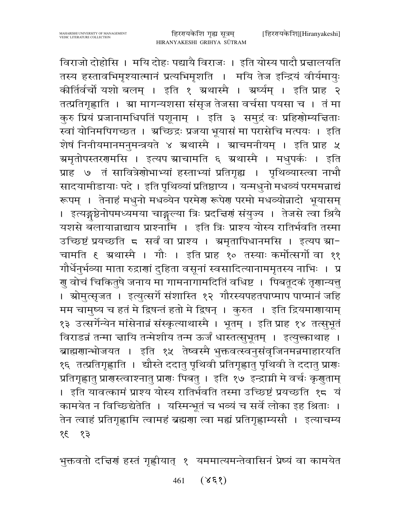विराजो दोहोसि । मयि दोहः पद्यायै विराजः । इति योस्य पादौ प्रत्नालयति तस्य हस्तावभिमृश्यात्मानं प्रत्यभिमृशति । मयि तेज इन्द्रियं वीर्यमायुः कीर्तिर्वचों यशो बलम् । इति १ ग्रथास्मै । ग्रर्घ्यम् । इति प्राह २ तत्प्रतिगृह्णाति । स्रा मागन्यशसा संसृज तेजसा वर्चसा पयसा च । तं मा कुरु प्रियं प्रजानामधिपतिं पशूनाम् । इति ३ समुद्रं वः प्रहिशोम्यचिताः स्वां योनिमपिगच्छत । अच्छिद्रः प्रजया भूयासं मा परासेचि मत्पयः । इति शेषं निनीयमानमनुमन्त्रयते ४ अथास्मै । स्राचमनीयम् । इति प्राह ५ ग्र्मृतोपस्तरगमसि । इत्यप ग्राचामति ६ ग्रथास्मै । मधुपर्कः । इति प्राह ७ तं सावित्रेणोभाभ्यां हस्ताभ्यां प्रतिगृह्य । पृथिव्यास्त्वा नाभौ सादयामीडायाः पदे । इति पृथिव्यां प्रतिष्ठाप्य । यन्मधूनो मधव्यं परममन्नाद्यं रूपम् । तेनाहं मधुनो मधव्येन परमेण रूपेण परमो मधव्योन्नादो भूयासम् । इत्यङ्गष्ठेनोपमध्यमया चाङ्गल्या त्रिः प्रदच्चिणं संयुज्य । तेजसे त्वा श्रियै यशसे बलायान्नाद्याय प्राश्नामि । इति त्रिः प्राश्य योस्य रातिर्भवति तस्मा उच्छिष्टं प्रयच्छति) ८ सर्वं वा प्राश्य । अमृतापिधानमसि । इत्यपं ग्रा-चामति १ अथास्मै । गौः । इति प्राह १० तस्याः कर्मोत्सर्गो वा ११ गौर्धेनुर्भव्या माता रुद्राणां दुहिता वसूनां स्वसादित्यानाममृतस्य नाभिः । प्र <u>णु</u> वोचं चिकितुषे जनाय मा गामनागामदितिं वधिष्ट**। पिबतूदकं तृ**णान्यत्तु । श्रोमुत्सृजत । इत्युत्सर्गे संशास्ति १२ गौरस्यपहतपाप्माप पाप्मानं जहि मम चामुष्य च हतं मे द्विषन्तं हतो मे द्विषन् । कुरुत । इति द्रियमाणायाम् १३ उत्सर्गेन्येन मांसेनान्नं संस्कृत्याथास्मै । भूतम् । इति प्राह १४ तत्सुभूतं विराडन्नं तन्मा न्नायि तन्मेशीय तन्म ऊर्जं धास्तत्सुभूतम् । इत्युत्काथाह । ब्राह्मणान्भोजयत । इति १५ तेष्वस्मै भुक्तवत्स्वनुसंवृजिनमन्नमाहारयति १६ तत्प्रतिगृह्णाति । द्यौस्ते ददातु पृथिवी प्रतिगृह्णातु पृथिवी ते ददातु प्राणः प्रतिगृह्णातु प्रागस्त्वाश्नातु प्रागः पिबतु । इति १७ इन्द्राग्नी मे वर्चः कृगुताम् । इति यावत्कामं प्राश्य योस्य रातिर्भवति तस्मा उच्छिष्टं प्रयच्छति १८ यं कामयेत न विच्छिद्येतेति । यस्मिन्भूतं च भव्यं च सर्वे लोका इह श्रिताः । तेन त्वाहं प्रतिगृह्णामि त्वामहं ब्रह्मणा त्वा मह्यं प्रतिगृह्णाम्यसौ । इत्याचम्य  $58$   $38$ 

भुक्तवतो दचिणं हस्तं गृह्णीयात् १ यममात्यमन्तेवासिनं प्रेष्यं वा कामयेत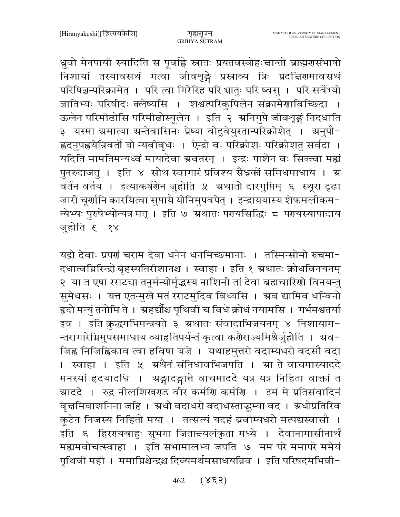ध्रुवो मेनपायी स्यादिति स पूर्वाह्रे स्नातः प्रयतवस्त्रोहःचान्तो ब्राह्मणसंभाषो निशायां तस्यावसथं गत्वा जीवशृङ्गे प्रस्नाव्य त्रिः प्रदत्तिरामावसथं परिषिञ्चन्परिक्रामेत् । परि त्वा गिरेरिह परि भ्रातुः परि ष्वसु । परि सर्वेभ्यो ज्ञातिभ्यः परिषीदः क्लेष्यसि । शश्वत्परिकुपिलेन संक्रामेणाविच्छिदा । ऊलेन परिमीढोसि परिमीढोस्यूलेन । इति २ अनिगुप्ते जीवशृङ्गं निदधाति ३ यस्मा ग्रमात्या ग्रन्तेवासिनः प्रेष्या वोद्गवेयुस्तान्परिक्रोशेत् । ग्रनुपौ-ह्नदनुपह्नयेन्निवर्तो यो न्यवीवृधः । ऐन्द्रो वः परिक्रोशः परिक्रोशतु सर्वदा । यदिति मामतिमन्यध्वं मायादेवा ग्रवतरन् । इन्द्रः पाशेन वः सिक्त्वा मह्यं पुनरुदाजतु । इति ४ सोथ स्वागारं प्रविश्य सैधकीं समिधमाधाय । ग्र वर्तन वर्तय । इत्याकर्षणेन जुहोति ५ अथातो दारगुप्तिम् ६ स्थूरा दृढा जारी चूर्णानि कारयित्वा सुप्तायै योनिमुपवपेत् । इन्द्राययास्य शेफमलीकम-न्येभ्यः पुरुषेभ्योन्यत्र मत् । इति ७ ग्रथातः परायसिद्धिः ८ परायस्यापादाय जुहोति ६ १४

यद्वो देवाः प्रपणं चराम देवा धनेन धनमिच्छमानाः । तस्मिन्सोमो रुचमा-दधात्वमिरिन्द्रो बृहस्पतिरीशानश्च । स्वाहा । इति १ ग्रथातः क्रोधविनयनम् २) या त एषा रराटचा तनूर्मन्योर्मृद्धस्य नाशिनी तां देवा ब्रह्मचारिणो विनयन्तु सुमेधसः । यत्त एतन्मुखे मतं रराटमुदिव विध्यसि । ग्रव द्यामिव धन्विनो .<br>हृदो मन्युं तनोमि ते । ग्रहद्यौश्च पृथिवी च विधे क्रोधं नयामसि । गर्भमश्वतर्या इव । इति क्रुद्धमभिमन्त्रयते ३ ग्रथातः संवादाभिजयनम् ४ निशायाम-न्तरागारेग्निमुपसमाधाय व्याहृतिपर्यन्तं कृत्वा करौराज्यमिश्रैर्जुहोति । अ्व-जिह्न निजिह्निकाव त्वा हविषा यजे । यथाहमुत्तरो वदाम्यधरो वदसौ वदा । स्वाहा । इति ५ अथैनं संनिधावभिजपति । स्रा ते वाचमास्याददे मनस्यां हृदयादधि । अङ्गादङ्गात्ते वाचमाददे यत्र यत्र निहिता वाक्तां त ग्राददे । रुद्र नीलशिखराड वीर कर्मणि कर्मणि । इमं मे प्रतिसंवादिनं वृत्तमिवाशनिना जहि । अधो वदाधरो वदाधस्ताद्भूम्या वद । अधोप्रतिरिव कूटेन निजस्य निहितो मया । तत्सत्यं यदहं ब्रवीम्यधरो मत्पद्यस्वासौ । इति ६ हिररायबाहुः सुभगा जितान्त्यलंकृता मध्ये । देवानामासीनार्थं मह्यमवोचत्स्वाहा । इति सभामालभ्य जपति ७ मम परे ममापरे ममेयं पृथिवी मही । ममाग्निश्चेन्द्रश्च दिव्यमर्थमसाधयन्निव । इति परिषदमभिवी-

> 462  $(S\xi)$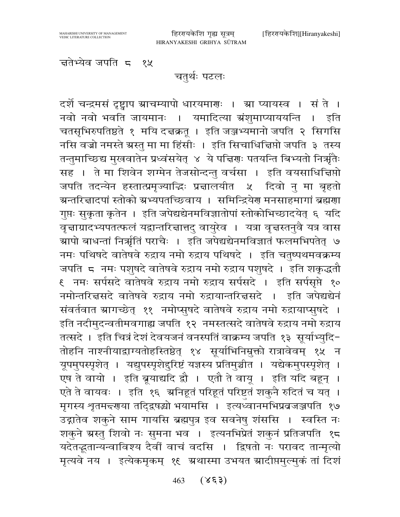न्नतेभ्येव जपति <del>८</del> १५

## चतुर्थः पटलः

दर्शे चन्द्रमसं दृष्ट्वाप ग्राचम्यापो धारयमार्गः । ग्रा प्यायस्व । सं ते । नवो नवो भवति जायमानः । यमादित्या ग्रंशुमाप्याययन्ति  $\Box$ इति चतसृभिरुपतिष्ठते १ मयि दच्चक्रतू । इति जञ्जभ्यमानो जपति २ सिगसि नसि वज्रो नमस्ते ग्रस्तु मा मा हिंसीः । इति सिचाधिचिप्तो जपति ३ तस्य तन्तुमाच्छिद्य मुखवातेन प्रध्वंसयेत् ४ ये पद्मिणः पतयन्ति बिभ्यतो निर्म्भतेः सह । ते मा शिवेन शग्मेन तेजसोन्दन्तु वर्चसा । इति वयसाधिचिप्तो जपति तदन्येन हस्तात्प्रमृज्याद्धिः प्रज्ञालयीत ५ दिवो नु मा बृहतो ग्रन्तरिज्ञादपां स्तोको ग्रभ्यपतच्छिवाय । समिन्द्रियेण मनसाहमागां ब्रह्मणा गुप्तः सुकृता कृतेन । इति जपेद्यद्येनमविज्ञातोपां स्तोकोभिच्छादयेत् ६ यदि वृत्ताग्रादभ्यपतत्फलं यद्वान्तरित्तात्तदु वायुरेव । यत्रा वृत्तस्तनुवै यत्र वास ग्रापो बाधन्तां निर्ऋतिं पराचैः । इति जपेद्यद्येनमविज्ञातं फलमभिपतेत् ७ नमः पथिषदे वातेषवे रुद्राय नमो रुद्राय पथिषदे । इति चतुष्पथमवक्रम्य जपति ८ नमः पशुषदे वातेषवे रुद्राय नमो रुद्राय पशुषदे । इति शक्रद्धतौ ६ नमः सर्पसदे वातेषवे रुद्राय नमो रुद्राय सर्पसदे । इति सर्पसृप्ते १० नमोन्तरिज्ञसदे वातेषवे रुद्राय नमो रुद्रायान्तरिज्ञसदे । इति जपेद्यद्येनं संवर्तवात म्रागच्छेत् ११ नमोप्सुषदे वातेषवे रुद्राय नमो रुद्रायाप्सुषदे । इति नदीमुदन्वतीमवगाह्य जपति १२ नमस्तत्सदे वातेषवे रुद्राय नमो रुद्राय तत्सदे । इति चित्रं देशं देवयजनं वनस्पतिं वाक्रम्य जपति १३ सूर्याभ्युदि-तोहनि नाश्नीयाद्वाग्यतोहस्तिष्ठेत् १४ सूर्याभिनिमुक्तो रात्रावेवम् १५ न यूपमुपस्पृशेत् । यद्युपस्पृशेद्दुरिष्टं यज्ञस्य प्रतिमुञ्चीत । यद्येकमुपस्पृशेत् । एष ते वायो । इति ब्रूयाद्यदि द्वौ । एतौ ते वायू । इति यदि बहून् । एते ते वायवः । इति १६ अनिहूतं परिहूतं परिष्टतं शकुनै रुदितं च यत् । मृगस्य शृतमद्त्याया तद्द्रिषद्यो भयामसि । इत्यध्वानमभिप्रव्रजञ्जपति १७ उद्गातेव शकुने साम गायसि ब्रह्मपुत्र इव सवनेषु शंससि । स्वस्ति नः शकुने ग्रस्तु शिवो नः सुमना भव । इत्यनभिप्रेतं शकुनं प्रतिजपति १८ यदेतद्भूतान्यन्वाविश्य दैवीं वाचं वदसि । द्विषतो नः परावद तान्मृत्यो मृत्यवे नय । इत्येकमृकम् १९ अथास्मा उभयत स्रादीप्तमुल्मुकं तां दिशं

> $(S\xi)$ 463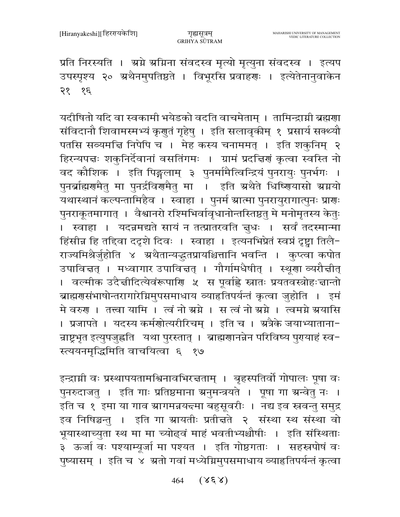प्रति निरस्यति । अग्ने अग्निना संवदस्व मृत्यो मृत्युना संवदस्व । इत्यप उपस्पृश्य २० अथैनमुपतिष्ठते । विभूरसि प्रवाहणः । इत्येतेनानुवाकेन २१ १६

यदीषितो यदि वा स्वकामी भयेडको वदति वाचमेताम् । तामिन्द्राग्नी ब्रह्मणा संविदानौ शिवामस्मभ्यं कृगुतं गृहेषु । इति सलावृकीम् १ प्रसार्य सक्थ्यौ पतसि सव्यमचि निपेपि च । मेह कस्य चनाममत् । इति शकुनिम् २ हिरन्यपद्मः शकुनिर्देवानां वसतिंगमः । ग्रामं प्रदद्मिणं कृत्वा स्वस्ति नो वद कौशिक । इति पिङ्गलाम् ३ पुनर्मामैत्विन्द्रियं पुनरायुः पुनर्भगः । पुनर्ब्राह्मणमैतु मा पुनर्द्रविर्णमैतु मा । इति अथैते धिष्णियासो अग्नयो यथास्थानं कल्पन्तामिहैव । स्वाहा । पुनर्म ग्रात्मा पुनरायुरागात्पुनः प्राणः पुनराकूतमागात् । वैश्वानरो रश्मिभिर्वावृधानोन्तस्तिष्ठतु मे मनोमृतस्य केतुः । स्वाहा । यदन्नमद्यते सायं न तत्प्रातरवति चुधः । सर्वं तदस्मान्मा हिंसीन्न हि तद्दिवा ददृशे दिवः । स्वाहा । इत्यनभिप्रेतं स्वप्नं दृष्ट्ना तिलै-राज्यमिश्रैर्जुहोति ४ अथैतान्यद्धतप्रायश्चित्तानि भवन्ति । कुप्त्वा कपोत उपाविचत् । मध्वागार उपाविचत् । गौर्गामधैषीत् । स्थूणा व्यरौचीत् । वर्ल्मीक उदैन्नीदित्येवरूपाणि ५ स पूर्वाह्ले स्नातः प्रयतवस्त्रोहःन्नान्तो ब्राह्मणसंभाषोन्तरागारेग्निमुपसमाधाय व्याहृतिपर्यन्तं कृत्वा जुहोति । इमं मे वरुण । तत्त्वा यामि । त्वं नो ग्रग्ने । स त्वं नो ग्रग्ने । त्वमग्ने ग्रयासि । प्रजापते । यदस्य कर्मणोत्यरीरिचम् । इति च । अत्रैके जयाभ्याताना-न्राष्ट्रभूत इत्युपजुह्वति यथा पुरस्तात् । ब्राह्मणानन्नेन परिविष्य पुरायाहं स्व− स्त्ययनमृद्धिमिति वाचयित्वा ६ १७

इन्द्राग्नी वः प्रस्थापयतामश्विनावभिरच्चताम् । बृहस्पतिर्वो गोपालः पूषा वः पुनरुदाजतु । इति गाः प्रतिष्ठमाना ग्रनुमन्त्रयते । पूषा गा ग्रन्वेतु नः । इति च १ इमा या गाव स्रागमन्नय<del>द्</del>मा बहुसूवरीः । नद्य इव स्नवन्तु समुद्र इव निषिञ्चन्तु । इति गा ग्रायतीः प्रतीत्तते २ संस्था स्थ संस्था वो भूयास्थाच्युता स्थ मा मा च्योढ्वं माहं भवतीभ्यश्चौषीः । इति संस्थिताः ३ ऊर्जा वः पश्याम्यूर्जा मा पश्यत । इति गोष्ठगताः । सहस्रपोषं वः पुष्यासम् । इति च ४ ग्रतो गवां मध्येग्निमुपसमाधाय व्याहृतिपर्यन्तं कृत्वा

> $(S \xi X)$ 464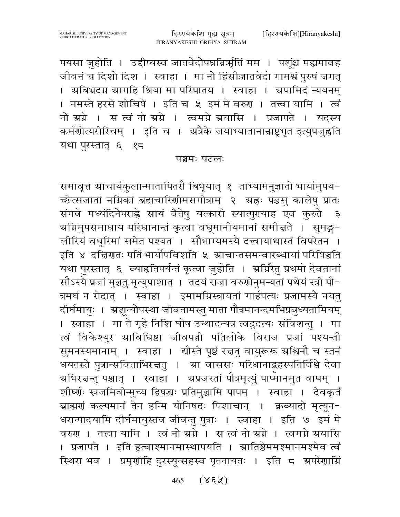पयसा जुहोति । उद्दीप्यस्व जातवेदोपघ्रन्निर्भृतिं मम । पशूंश्च मह्यमावह जीवनं च दिशो दिश । स्वाहा । मा नो हिंसीजातवेदो गामश्वं पुरुषं जगत् । अबिभ्रदग्न ग्रागहि श्रिया मा परिपातय । स्वाहा । अपामिदं न्ययनम् । नमस्ते हरसे शोचिषे । इति च ५ इमं मे वरुग । तत्त्वा यामि । त्वं नो अग्ने । स त्वं नो अग्ने । त्वमग्ने अयासि । प्रजापते । यदस्य कर्मणोत्यरीरिचम् । इति च । स्रत्रैके जयाभ्यातानान्राष्ट्रभूत इत्युपजुह्वति यथा पुरस्तात् ६ १८

#### पञ्चमः पटलः

समावृत्त स्राचार्यकुलान्मातापितरौ बिभृयात् १ ताभ्यामनुज्ञातो भार्यामुपय-च्छेत्सजातां नग्निकां ब्रह्मचारिणीमसगोत्राम् २ अहः पञ्चसु कालेषु प्रातः संगवे मध्यंदिनेपराह्णे सायं वैतेषु यत्कारी स्यात्पुरायाह एव कुरुते ३ अग्निमुपसमाधाय परिधानान्तं कृत्वा वधूमानीयमानां समीत्तते । सुमङ्ग-लीरियं वधूरिमां समेत पश्यत । सौभाग्यमस्यै दत्त्वायाथास्तं विपरेतन । इति ४ दच्चिणतः पतिं भार्योपविशति ५ स्राचान्तसमन्वारब्धायां परिषिञ्चति यथा पुरस्तात् ६ व्याहृतिपर्यन्तं कृत्वा जुहोति । अग्निरैतु प्रथमो देवतानां सौऽस्यै प्रजां मुञ्चतु मृत्युपाशात् । तदयं राजा वरुणोनुमन्यतां पथेयं स्त्री पौ-त्रमघं न रोदात् । स्वाहा । इमामग्निस्त्रायतां गार्हपत्यः प्रजामस्यै नयतु दीर्घमायुः । अ्रशून्योपस्था जीवतामस्तु माता पौत्रमानन्दमभिप्रबुध्यतामियम् । स्वाहा । मा ते गृहे निशि घोष उन्थादन्यत्र त्वद्गदत्यः संविशन्तु । मा त्वं विकेश्युर ग्राविधिष्ठा जीवपत्नी पतिलोके विराज प्रजां पश्यन्ती सुमनस्यमानाम् । स्वाहा । द्यौस्ते पृष्ठं रच्ततु वायुरूरू ग्रश्चिनौ च स्तनं धयतस्ते पुत्रान्सविताभिरचतु । स्रा वाससः परिधानाद्ब्रहस्पतिर्विश्वे देवा ञ्चभिरत्तन्तु पश्चात् । स्वाहा । त्र्प्रजस्तां पौत्रमृत्युं पाप्मानमुत वाघम् । शीर्ष्णः स्त्रजमिवोन्मुच्य द्विषद्धः प्रतिमुञ्चामि पापम् । स्वाहा । देवकृतं ब्राह्मणं कल्पमानं तेन हन्मि योनिषदः पिशाचान् । क्रव्यादो मृत्यून-धरान्पादयामि दीर्घमायुस्तव जीवन्तु पुत्राः । स्वाहा । इति ७ इमं मे वरुण । तत्त्वा यामि । त्वं नो ग्रग्ने । स त्वं नो ग्रग्ने । त्वमग्ने ग्रयासि । प्रजापते । इति हुत्वाश्मानमास्थापयति । स्रातिष्ठेममश्मानमश्मेव त्वं स्थिरा भव । प्रमृणीहि दुरस्यून्सहस्व पृतनायतः । इति ८ अपरेणाग्निं

> 465  $(S \xi \chi)$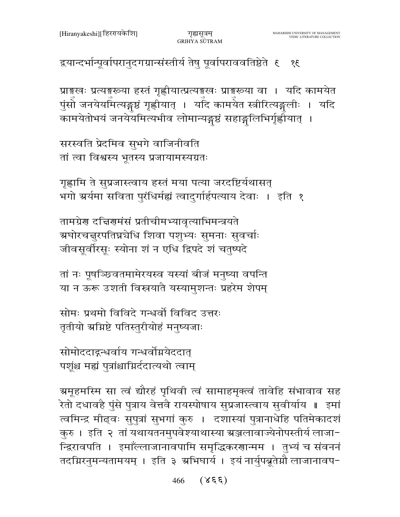$(\lambda \xi \xi)$ 466

ग्रमूहमस्मि सा त्वं द्यौरहं पृथिवी त्वं सामाहमृक्त्वं तावेहि संभावाव सह .<br>रेतो दधावहै पुंसे पुत्राय वेत्तवै रायस्पोषाय सुप्रजास्त्वाय सुवीर्याय ॥ इमां त्वमिन्द्र मीढ्वः सुपुत्रां सुभगां कुरु । दशास्यां पुत्रानाधेहि पतिमेकादशं कुरु । इति २ तां यथायतनमुपवेश्याथास्या ग्रञ्जलावाज्येनोपस्तीर्य लाजा-न्द्रिरावपति । इमाँल्लाजानावपामि समृद्धिकरणान्मम । तुभ्यं च संवननं तदग्निरनुमन्यतामयम् । इति ३ अभिघार्य । इयं नार्युपब्रूतेग्नौ लाजानावप-

सोमोददाद्गस्धर्वाय गन्धर्वोग्नयेददात् पशृंश्च मह्यं पुत्रांश्चाग्निर्ददात्यथो त्वाम्

सोमः प्रथमो विविदे गन्धर्वो विविद उत्तरः तृतीयो ग्रम्रिष्टे पतिस्तुरीयोहं मनुष्यजाः

तां नः पूषञ्छिवतमामेरयस्व यस्यां बीजं मनुष्या वपन्ति या न ऊरू उशती विस्त्रयातै यस्यामुशन्तः प्रहरेम शेपम्

तामग्रेण दत्तिरणमंसं प्रतीचीमभ्यावृत्याभिमन्त्रयते ग्रघोरचत्तूरपतिघ्नचेधि शिवा पशुभ्यः सुमनाः सुवर्चाः जीवसूर्वीरसूः स्योना शं न एधि द्विपदे शं चतुष्पदे

गृह्णामि ते सुप्रजास्त्वाय हस्तं मया पत्या जरदष्टिर्यथासत् भगो ग्रर्यमा सविता पुरंधिर्मह्यं त्वादुर्गार्हपत्याय देवाः । इति १

सरस्वति प्रेदमिव सुभगे वाजिनीवति तां त्वा विश्वस्य भूतस्य प्रजायामस्यग्रतः

प्राइखः प्रत्यइख्या हस्तं गृह्णीयात्प्रत्यइखः प्राइख्या वा । यदि कामयेत पुंसो जनयेयमित्यङ्गुष्ठं गृह्णीयात् । यादि कामयेत स्त्रीरित्यङ्गलीः । यदि कामयेतोभयं जनयेयमित्यभीव लोमान्यङ्गष्ठं सहाङ्गलिभिर्गृह्णीयात् ।

द्रयान्दर्भान्पूर्वापरानुदगग्रान्संस्तीर्य तेषु पूर्वापराववतिष्ठेते ६ १६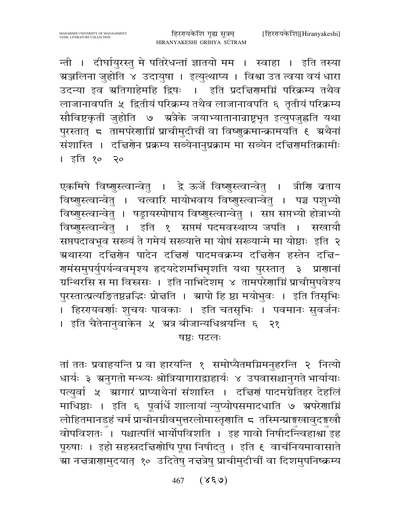न्ती । दीर्घायुरस्तु मे पतिरेधन्तां ज्ञातयो मम । स्वाहा । इति तस्या ग्रञ्जलिना जुहोति ४ उदायुषा । इत्युत्थाप्य । विश्वा उत त्वया वयं धारा उदन्या इव अतिगाहेमहि द्विषः । इति प्रदत्तिरामग्निं परिक्रम्य तथैव लाजानावपति ५ द्वितीयं परिक्रम्य तथैव लाजानावपति ६ तृतीयं परिक्रम्य सौविष्टकृतीं जुहोति ७ अत्रैके जयाभ्यातानान्राष्ट्रभूत इत्युपजुह्वति यथा पुरस्तात् ८ तामपरेणाग्निं प्राचीमुदीचीं वा विष्णुक्रमान्क्रामयति ६ अथैनां संशास्ति । दच्चिर्णेन प्रक्रम्य सव्येनानुप्रक्राम मा सव्येन दच्चिणमतिक्रामीः । इति १० २०

एकमिषे विष्णुस्त्वान्वेतु । द्वे ऊर्जे विष्णुस्त्वान्वेतु । त्रीणि व्रताय विष्णुस्त्वान्वेतु । चत्वारि मायोभवाय विष्णुस्त्वान्वेतु । पञ्च पशुभ्यो विष्णुस्त्वान्वेतु । षड्रायस्पोषाय विष्णुस्त्वान्वेतु । सप्त सप्तभ्यो होत्राभ्यो विष्णुस्त्वान्वेतु । इति १ सप्तमं पदमवस्थाप्य जपति । सखायौ सप्तपदावभूव सरूयं ते गमेयं सरूयात्ते मा योषं सरूयान्मे मा योष्ठाः इति २ ग्रथास्या दत्तिरोन पादेन दत्तिरां पादमवक्रम्य दत्तिरोन हस्तेन दत्ति-गुमंसमुपर्युपर्यन्ववमृश्य हृदयदेशमभिमृशति यथा पुरस्तात् ३ प्रागानां ग्रन्थिरसि स मा विस्त्रसः । इति नाभिदेशम् ४ तामपरेणाग्निं प्राचीमुपवेश्य पुरस्तात्प्रत्यङ्तिष्ठन्नद्धिः प्रोत्तति । स्रापो हि ष्ठा मयोभुवः । इति तिसृभिः । हिररयवर्णाः शुचयः पावकाः । इति चतसृभिः । पवमानः सुवर्जनः । इति चैतेनानुवाकेन *५ भ्र*त्र बीजान्यधिश्रयन्ति ६ २१

षष्ठः पटलः

तां ततः प्रवाहयन्ति प्र वा हारयन्ति १ समोप्यैतमग्निमनुहरन्ति २ नित्यो धार्यः ३ अनुगतो मन्थ्यः श्रोत्रियागाराद्वाहार्यः ४ उपवासश्चानुगते भार्यायाः पत्युर्वा ५ ग्रागारं प्राप्याथैनां संशास्ति । दचिरणं पादमग्रेतिहर देहलिं माधिष्ठाः । इति ६ पूर्वार्धे शालायां न्युप्योपसमादधाति ७ अपरेणाग्निं लोहितमानडहं चर्म प्राचीनग्रीवमुत्तरलोमास्तृणाति ८ तस्मिन्प्राङ्गुखावुदङ्खौ वोपविशतः । पश्चात्पतिं भार्योपविशति । इह गावो निषीदन्त्विहाश्वा इह पूरुषाः । इहो सहस्रदचिर्णापि पूषा निषीदतु । इति ६ वाचंनियमावासाते ग्रा नचत्राणामुदयात् १० उदितेषु नचत्रेषु प्राचीमुदीचीं वा दिशमुपनिष्क्रम्य

> $(880)$ 467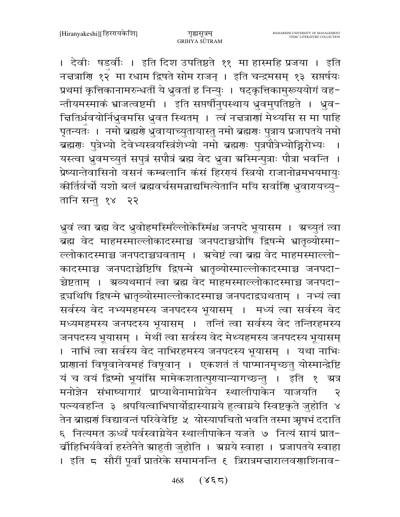। देवीः षडर्वीः । इति दिश उपतिष्ठते ११ मा हास्महि प्रजया । इति नद्मत्राणि १२ मा रधाम द्विषते सोम राजन् । इति चन्द्रमसम् १३ सप्तर्षयः प्रथमां कृत्तिकानामरुन्धर्ती ये ध्रुवतां ह निन्युः । षट्कृत्तिकामुरूययोगं वह-न्तीयमस्माकं भ्राजत्वष्टमी । इति सप्तर्षीनुपस्थाय ध्रुवमुपतिष्ठते । ध्रुव-चितिर्ध्रवयोर्निधुवमसि धुवत स्थितम् । त्वं नचन्राणां मेथ्यसि स मा पाहि पृतन्यतः । नमो ब्रह्मणे ध्रुवायाच्युतायास्तु नमो ब्रह्मणः पुत्राय प्रजापतये नमो ब्रह्मणः पुत्रेभ्यो देवेभ्यस्त्रयस्त्रिंशेभ्यो नमो ब्रह्मणः पुत्रपौत्रेभ्योङ्गिरोभ्यः यस्त्वा धुवमच्युतं सपुत्रं सपौत्रं ब्रह्म वेद ध्रुवा ग्रस्मिन्पुत्राः पौत्रा भवन्ति । प्रेष्यान्तेवासिनो वसनं कम्बलानि कंसं हिरएयं स्त्रियो राजानोन्नमभयमायुः कीर्तिर्वची यशो बलं ब्रह्मवर्चसमन्नाद्यमित्येतानि मयि सर्वाणि ध्रुवारयच्यु-तानि सन्तु १४ २२

धुवं त्वा ब्रह्म वेद धुवोहमस्मिँल्लोकेस्मिंश्च जनपदे भूयासम । अच्युतं त्वा ब्रह्म वेद माहमस्माल्लोकादस्माच्च जनपदाच्चचोषि द्विषन्मे भ्रातृव्योस्मा-ल्लोकादस्माञ्च जनपदाच्चचवताम् । अचेष्टं त्वा ब्रह्म वेद माहमस्माल्लो-कादस्माञ्च जनपदाञ्चेष्टिषि द्विषन्मे भ्रातृव्योस्माल्लोकादस्माञ्च जनपदा-ञ्चेष्टताम् । अ्ञव्यथमानं त्वा ब्रह्म वेद माहमस्माल्लोकादस्माच्च जनपदा− द्वर्घाथषि द्विषन्मे भ्रातृव्योस्माल्लोकादस्माच्च जनपदाद्व्यथताम् । नभ्यं त्वा सर्वस्य वेद नभ्यमहमस्य जनपदस्य भूयासम् । मध्यं त्वा सर्वस्य वेद मध्यमहमस्य जनपदस्य भूयासम् । तन्तिं त्वा सर्वस्य वेद तन्तिरहमस्य जनपदस्य भूयासम् । मेथीं त्वा सर्वस्य वेद मेथ्यहमस्य जनपदस्य भूयासम् । नाभिं त्वा सर्वस्य वेद नाभिरहमस्य जनपदस्य भूयासम् । यथा नाभिः प्राणानां विषूवानेवमहं विषूवान् । एकशतं तं पाप्मानमृच्छतु योस्मान्द्रेष्टि यं च वयं द्विष्मो भूयांसि मामेकशतात्पुरायान्यागच्छन्तु । इति १ ग्रत्र मनोज्ञेन संभाष्यागारं प्राप्याथैनामाग्नेयेन स्थालीपाकेन याजयति  $\mathcal{L}$ पत्न्यवहन्ति ३ श्रपयित्वाभिघार्योद्वास्याग्नये हुत्वाग्नये स्विष्टकृते जुहोति ४ तेन ब्राह्मणं विद्यावन्तं परिवेवेष्टि ५ योस्यापचितो भवति तस्मा ऋषभं ददाति ६ नित्यमत ऊर्ध्वं पर्वस्वाग्नेयेन स्थालीपाकेन यजते ७ नित्यं सायं प्रात-र्वीहिभिर्यवैर्वा हस्तेनैते स्राहुती जुहोति । स्रग्नये स्वाहा । प्रजापतये स्वाहा । इति ८ सौरीं पूर्वां प्रातरेके समामनन्ति ६ त्रिरात्रमत्तारालवणाशिनाव-

> $(S\xi \nabla)$ 468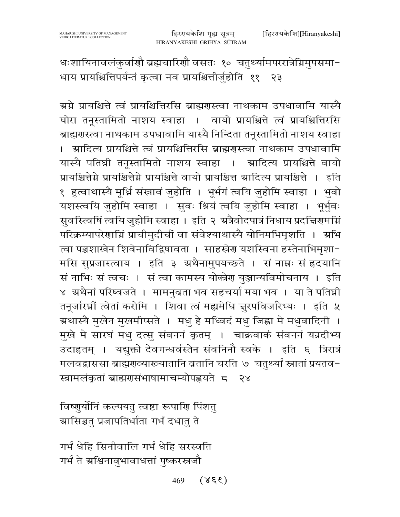धःशायिनावलंकुर्वाणौ ब्रह्मचारिणौ वसतः १० चतुर्थ्यामपररात्रेग्निमुपसमा− धाय प्रायश्चित्तिपर्यन्तं कृत्वा नव प्रायश्चित्तीर्जुहोति ११ २३

ग्रमे प्रायश्चित्ते त्वं प्रायश्चित्तिरसि ब्राह्मणस्त्वा नाथकाम उपधावामि यास्यै घोरा तनूस्तामितो नाशय स्वाहा । वायो प्रायश्चित्ते त्वं प्रायश्चित्तिरसि ब्राह्मग्रस्त्वा नाथकाम उपधावामि यास्यै निन्दिता तनूस्तामितो नाशय स्वाहा । ग्रादित्य प्रायश्चित्ते त्वं प्रायश्चित्तिरसि ब्राह्मगस्त्वा नाथकाम उपधावामि यास्यै पतिघ्नी तनूस्तामितो नाशय स्वाहा । ग्रादित्य प्रायश्चित्ते वायो प्रायश्चित्तेग्ने प्रायश्चित्तेग्ने प्रायश्चित्ते वायो प्रायश्चित्त प्रायश्चित्ते । इति १) हुत्वाथास्यै मूर्ध्नि संस्नावं जुहोति । भूर्भगं त्वयि जुहोमि स्वाहा । भुवो यशस्त्वयि जुहोमि स्वाहा । सुवः श्रियं त्वयि जुहोमि स्वाहा । भूर्भुवः सुवस्त्विषिं त्वयि जुहोमि स्वाहा । इति २ अत्रैवोदपात्रं निधाय प्रदत्तिरामग्निं परिक्रम्यापरेणाम्निं प्राचीमुदीचीं वा संवेश्याथास्यै योनिमभिमृशति । अभि त्वा पञ्चशाखेन शिवेनाविद्विषावता । साहस्रेण यशस्विना हस्तेनाभिमृशा-मसि सुप्रजास्त्वाय । इति ३ अथैनामुपयच्छते । सं नाम्नः सं हृदयानि सं नाभिः सं त्वचः । सं त्वा कामस्य योक्त्रेण युञ्जान्यविमोचनाय । इति ४ अ्रथैनां परिष्वजते । मामनुव्रता भव सहचर्या मया भव । या ते पतिघ्री तनूर्जारघ्नीं त्वेतां करोमि । शिवा त्वं मह्यमेधि चुरपविजरिभ्यः । इति ५ ग्रथास्यै मुखेन मुखमीप्सते । मधु हे मध्विदं मधु जिह्ना मे मधुवादिनी । मुखे मे सारघं मधु दत्सु संवननं कृतम् । चाक्रवाकं संवननं यन्नदीभ्य उदाहृतम् । यद्युक्तो देवगन्धर्वस्तेन संवनिनौ स्वके । इति ६ त्रिरात्रं मलवद्वाससा ब्राह्मणव्याख्यातानि ब्रतानि चरति ७ चतुर्थ्यां स्नातां प्रयतव-स्त्रामलंकृतां ब्राह्मणसंभाषामाचम्योपह्नयते ८ २४

विष्णुर्योनिं कल्पयतु त्वष्टा रूपाणि पिंशतु ग्रासिञ्चतु प्रजापतिर्धाता गर्भं दधातु ते

गर्भं धेहि सिनीवालि गर्भं धेहि सरस्वति गर्भं ते ग्रश्विनावुभावाधत्तां पुष्करस्त्रजौ

> $(358)$ 469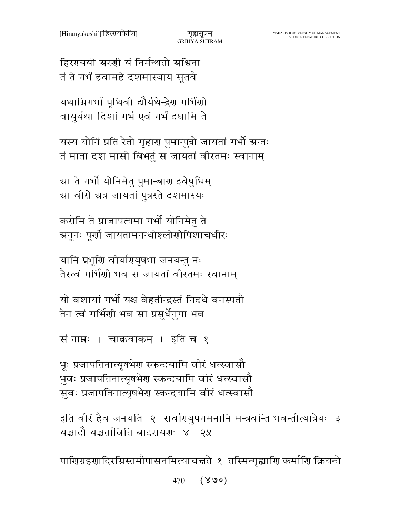पाणिग्रहणादिरग्निस्तमौपासनमित्याचत्तते १ तस्मिन्गृह्याणि कर्माणि क्रियन्ते

इति वीरं हैव जनयति २ सर्वारप्युपगमनानि मन्त्रवन्ति भवन्तीत्यात्रेयः ३ यच्चादौ यच्चर्ताविति बादरायगः ४ २५

भूः प्रजापतिनात्यृषभेग स्कन्दयामि वीरं धत्स्वासौ भुवः प्रजापतिनात्यृषभेग स्कन्दयामि वीरं धत्स्वासौ सुवः प्रजापतिनात्यृषभेग स्कन्दयामि वीरं धत्स्वासौ

तेन त्वं गर्भिणी भव सा प्रसूर्धेनुगा भव सं नाम्नः । चाक्रवाकम् । इति च १

यानि प्रभूणि वीर्यागयृषभा जनयन्तु नः तैस्त्वं गर्भिणी भव स जायतां वीरतमः स्वानाम

यो वशायां गर्भो यश्च वेहतीन्द्रस्तं निदधे वनस्पतौ

ग्रा वीरो ग्रत्र जायतां पुत्रस्ते दशमास्यः करोमि ते प्राजापत्यमा गर्भो योनिमेतु ते

ग्रनूनः पूर्णौ जायतामनन्धोश्लोणोपिशाचधीरः

म्रा ते गर्भो योनिमेतु पुमान्बार इवेषुधिम्

यस्य योनिं प्रति रेतो गृहारा पुमान्पुत्रो जायतां गर्भो स्रन्तः तं माता दश मासो बिभर्तु स जायतां वीरतमः स्वानाम्

यथाग्निगर्भा पृथिवी द्यौर्यथेन्द्रेण गर्भिणी वायुर्यथा दिशां गर्भ एवं गर्भं दधामि ते

हिररययी ग्ररणी यं निर्मन्थतो अश्विना तं ते गर्भं हवामहे दशमास्याय सूतवे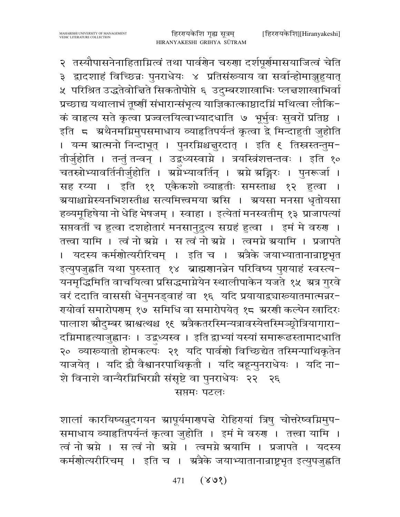२ तस्यौपासनेनाहिताग्नित्वं तथा पार्वणेन चरुणा दर्शपूर्णमासयाजित्वं चेति ३ द्वादशाहं विच्छिन्नः पुनराधेयः ४ प्रतिसंख्याय वा सर्वान्होमाञ्जुहुयात् ५ परिश्रित उद्धतेवोच्तिते सिकतोपोप्ते ६ उदुम्बरशाखाभिः प्लचशाखाभिर्वा प्रच्छाद्य यथालाभं तूष्णीं संभारान्संभृत्य याज्ञिकात्काष्ठादग्निं मथित्वा लौकि-कं वाहत्य सते कृत्वा प्रज्वलयित्वाभ्यादधाति ७ भूर्भुवः सुवरों प्रतिष्ठ । इति 5 अथैनमग्निमुपसमाधाय व्याहृतिपर्यन्तं कृत्वा द्वे मिन्दाहुती जुहोति । यन्म ग्रात्मनो निन्दाभूत् । पुनरग्निश्चचुरदात् । इति ६ तिस्त्रस्तन्तुम-तीर्जुहोति । तन्तुं तन्वन् । उद्बध्यस्वाग्ने । त्रयस्त्रिंशत्तन्तवः । इति १० चतस्रोभ्यावर्तिनीर्जुहोति । अ्रेभयावर्तिन् । अ्रे अङ्गिरः । पुनरूर्जा । सह रय्या । इति ११ एकैकशो व्याहतीः समस्ताश्च १२ हुत्वा । ग्रयाश्चाग्नेस्यनभिशस्तीश्च सत्यमित्त्वमया ग्रसि । ग्रयसा मनसा धृतोयसा हव्यमूहिषेया नो धेहि भेषजम् । स्वाहा । इत्येतां मनस्वतीम् १३ प्राजापत्यां सप्तवतीं च हुत्वा दशहोतारं मनसानुद्रुत्य सग्रहं हुत्वा । इमं मे वरुण । तत्त्वा यामि । त्वं नो ग्रग्ने । स त्वं नो ग्रग्ने । त्वमग्ने ग्रयामि । प्रजापते । यदस्य कर्मणोत्यरीरिचम् । इति च । अत्रैके जयाभ्यातानान्राष्ट्रभूत इत्युपजुह्वति यथा पुरुस्तात् १४ ब्राह्मणानन्नेन परिविष्य पुरायाहं स्वस्त्य-यनमद्धिमिति वाचयित्वा प्रसिद्धमाग्नेयेन स्थालीपाकेन यजते १५ अत्र गुरवे वरं ददाति वाससी धेनुमनड्वाहं वा १६ यदि प्रयायाद्व्यारूयातमात्मन्नर− रायोर्वा समारोपराम् १७ समिधि वा समारोपयेत् १८ ग्ररणी कल्पेन खादिरः पालाश औदुम्बर ग्राश्वत्थश्च १९ अत्रैकतरस्मिन्यत्रावस्येत्तस्मिञ्छ्रोत्रियागारा-दम्निमाहृत्याजुह्वानः । उद्बध्यस्व । इति द्वाभ्यां यस्यां समारूढस्तामादधाति २० व्याख्यातो होमकल्पः २१ यदि पार्वणो विच्छिद्येत तस्मिन्पाथिकृतेन याजयेत् । यदि द्वौ वैश्वानरपाथिकृतौ । यदि बहून्पुनराधेयः । यदि ना-शे विनाशे वान्यैरग्निभिरम्रौ संसृष्टे वा पुनराधेयः २२ २६

सप्तमः पटलः

शालां कारयिष्यन्नुदगयन स्रापूर्यमारण्पत्ते रोहिरप्यां त्रिषु चोत्तरेष्वम्रिमुप-समाधाय व्याहृतिपर्यन्तं कृत्वा जुहोति । इमं मे वरुण । तत्त्वा यामि । त्वं नो ग्रग्ने । स त्वं नो ग्रग्ने । त्वमग्ने ग्रयामि । प्रजापते । यदस्य कर्मणोत्यरीरिचम् । इति च । स्रत्रैके जयाभ्यातानान्राष्ट्रभृत इत्युपजुह्वति

> $(808)$ 471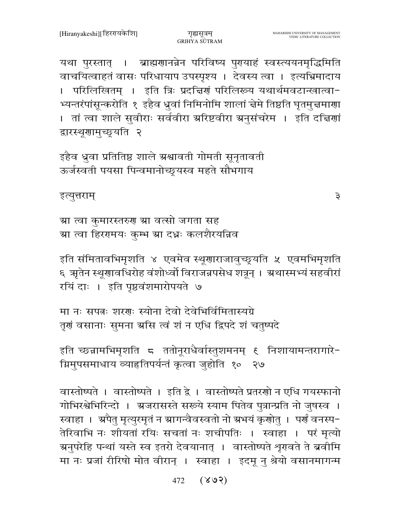यथा पुरस्तात् । ब्राह्मणानन्नेन परिविष्य पुरायाहं स्वस्त्ययनमृद्धिमिति वाचयित्वाहतं वासः परिधायाप उपस्पृश्य । देवस्य त्वा । इत्यभ्रिमादाय । परिलिखितम् । इति त्रिः प्रदत्तिर्णं परिलिख्य यथार्थमवटान्खात्वा-भ्यन्तरंपांसून्करोति १ इहैव ध्रुवां निमिनोमि शालां चेमे तिष्ठति घृतमुच्चमाणा । तां त्वा शाले सुवीराः सर्ववीरा ग्ररिष्टवीरा ग्रनुसंचरेम । इति दच्चिणां द्वारस्थूणामुच्छुयति २

इहैव ध्रुवा प्रतितिष्ठ शाले ग्रश्वावती गोमती सूनृतावती ऊर्जस्वती पयसा पिन्वमानोच्छ्यस्व महते सौभगाय

इत्युत्तराम्

 $\overline{z}$ 

ग्रा त्वा कुमारस्तरुण ग्रा वत्सो जगता सह ग्रा त्वा हिररामयः कम्भ ग्रा दध्नः कलशैरयन्निव

इति संमितावभिमृशति ४ एवमेव स्थूणाराजावुच्छ्र्यति ५ एवमभिमृशति ६ ऋतेन स्थूगावधिरोह वंशोध्वों विराजन्नपसेध शत्रून् । अ्रथास्मभ्यं सहवीरां रयिं दाः । इति पृष्ठवंशमारोपयते ७

मा नः सपतः शरणः स्योना देवो देवेभिर्विमितास्यग्रे तृणं वसानाः सुमना ग्रसि त्वं शं न एधि द्विपदे शं चतुष्पदे

इति च्छन्नामभिमृशति ८ ततोनूराधैर्वास्तुशमनम् ६ निशायामन्तरागारे-ग्निमुपसमाधाय व्याहृतिपर्यन्तं कृत्वा जुहोति १० २७

वास्तोष्पते । वास्तोष्पते । इति द्वे । वास्तोष्पते प्रतरणो न एधि गयस्फानो गोभिरश्वेभिरिन्दो । अजरासस्ते सरूये स्याम पितेव पुत्रान्प्रति नो जुषस्व । स्वाहा । अपैतु मृत्युरमृतं न स्रागन्वैवस्वतो नो अभयं कृणोतु । पर्णं वनस्प-तेरिवाभि नः शीयतां रयिः सचतां नः शचीपतिः । स्वाहा । परं मृत्यो ग्रनुपरेहि पन्थां यस्ते स्व इतरो देवयानात् । वास्तोष्पते श्रूयवते ते ब्रवीमि मा नः प्रजां रीरिषो मोत वीरान् । स्वाहा । इदमू नु श्रेयो वसानमागन्म

> $(SQ)$ 472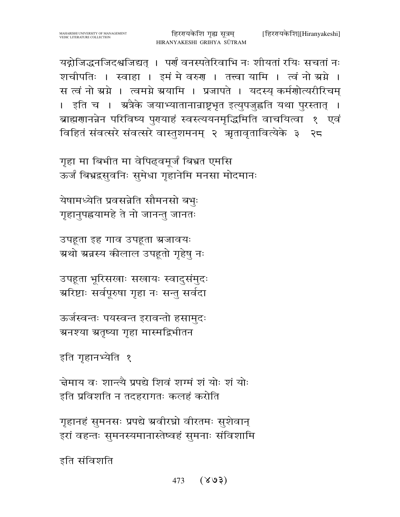इति संविशति

गृहानहं सुमनसः प्रपद्ये श्रवीरघ्नो वीरतमः सुशेवान् इरां वहन्तः सुमनस्यमानास्तेष्वहं सुमनाः संविशामि

चेमाय वः शान्त्यै प्रपद्ये शिवं शग्मं शं योः शं योः इति प्रविशति न तदहरागतः कलहं करोति

इति गृहानभ्येति १

ऊर्जस्वन्तः पयस्वन्त इरावन्तो हसामुदः ग्रनश्या ग्रतृष्या गृहा मास्मद्विभीतन

उपहूता भूरिसखाः सखायः स्वादुसंमुदः ग्ररिष्टाः सर्वपूरुषा गृहा नः सन्तु सर्वदा

उपहूता इह गाव उपहूता ग्रजावयः ग्रथो ग्रन्नस्य कीलाल उपहूतो गृहेषु नः

येषामध्येति प्रवसन्नेति सौमनसो बभुः गृहानुपह्नयामहे ते नो जानन्तु जानतः

गृहा मा बिभीत मा वेपिढ्वमूर्जं बिभ्रत एमसि ऊर्जं बिभ्रद्रसुवनिः सुमेधा गृहानेमि मनसा मोदमानः

यद्गोजिद्धनजिदश्वजिद्यत् । पर्यं वनस्पतेरिवाभि नः शीयतां रयिः सचतां नः शचीपतिः । स्वाहा । इमं मे वरुण । तत्त्वा यामि । त्वं नो ग्रग्ने । स त्वं नो ग्रग्ने । त्वमग्ने ग्रयामि । प्रजापते । यदस्य कर्मणोत्यरीरिचम् । इति च । ग्रत्रैके जयाभ्यातानान्राष्ट्रभृत इत्युपजुह्वति यथा पुरस्तात् । ब्राह्मणानन्नेन परिविष्य पुरायाहं स्वस्त्ययनमृद्धिमिति वाचयित्वा १ एवं विहितं संवत्सरे संवत्सरे वास्तुशमनम् २ ऋतावृतावित्येके ३  $75$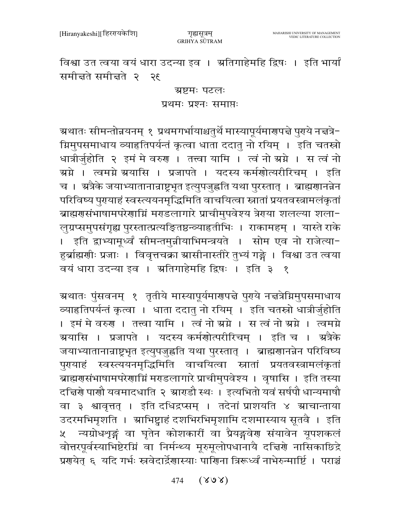विश्वा उत त्वया वयं धारा उदन्या इव । म्रतिगाहेमहि द्विषः । इति भार्यां समीन्नते समीन्नते २ २९

#### ग्रष्टमः पटलः

#### प्रथमः प्रश्नः समाप्तः

ग्र्रथातः सीमन्तोन्नयनम् १ प्रथमगर्भायाश्चतुर्थे मास्यापूर्यमार्गपत्ते पुराये नत्तत्रे− ग्निमुपसमाधाय व्याहृतिपर्यन्तं कृत्वा धाता ददातु नो रयिम् । इति चतस्रो धात्रीर्जुहोति २ इमं मे वरुण । तत्त्वा यामि । त्वं नो ग्रग्ने । स त्वं नो ग्र्म्रमे । त्वमग्ने ग्रयासि । प्रजापते । यदस्य कर्मणोत्यरीरिचम् । इति च । अत्रैके जयाभ्यातानान्राष्ट्रभृत इत्युपजुह्वति यथा पुरस्तात् । ब्राह्मणानन्नेन परिविष्य पुरायाहं स्वस्त्ययनमृद्धिमिति वाचयित्वा स्नातां प्रयतवस्त्रामलंकृतां बाह्मरासंभाषामपरेरााम्निं मराडलागारे प्राचीमुपवेश्य त्रेराया शलल्या शला-लुग्रप्समुपसंगृह्य पुरस्तात्प्रत्यङ्तिष्ठन्व्याहृतीभिः । राकामहम् । यास्ते राके । इति द्वाभ्यामूर्ध्वं सीमन्तमुन्नीयाभिमन्त्रयते । सोम एव नो राजेत्या-हुर्ब्राह्मणीः प्रजाः । विवृत्तचक्रा स्रासीनास्तीरे तुभ्यं गङ्गे । विश्वा उत त्वया वयं धारा उदन्या इव । अतिगाहेमहि द्विषः । इति ३ १

ग्रथातः पुंसवनम् १ तृतीये मास्यापूर्यमार्णपद्मे पुरये नद्मत्रेग्निमुपसमाधाय व्याहृतिपर्यन्तं कृत्वा । धाता ददातु नो रयिम् । इति चतस्रो धात्रीर्जुहोति । इमं मे वरुण । तत्त्वा यामि । त्वं नो ग्रग्ने । स त्वं नो ग्रग्ने । त्वमग्ने ग्रयासि । प्रजापते । यदस्य कर्मणोत्परीरिचम् । इति च । अत्रैके जयाभ्यातानान्राष्ट्रभृत इत्युपजुह्वति यथा पुरस्तात् । ब्राह्मणानन्नेन परिविष्य पुरायाहं स्वस्त्ययनमृद्धिमिति वाचयित्वा स्नातां प्रयतवस्त्रामलंकृतां ब्राह्मरासंभाषामपरेरााम्निं मराडलागारे प्राचीमुपवेश्य । वृषासि । इति तस्या दच्चिरो पार्गौ यवमादधाति २ स्राराडौ स्थः । इत्यभितो यवं सर्षपौ धान्यमाषौ वा ३ श्वावृत्तत् । इति दधिद्रप्सम् । तदेनां प्राशयति ४ ग्राचान्ताया उदरमभिमृशति । स्राभिष्ट्वाहं दशभिरभिमृशामि दशमास्याय सूतवै । इति न्यग्रोधशृङ्गं वा घृतेन कोशकारीं वा प्रैयङ्गवेण संयावेन यूपशकलं  $\chi$ वोत्तरपूर्वस्याभिष्टेरग्निं वा निर्मन्थ्य मूरुमूलोपधानायै दद्मिणे नासिकाछिद्रे प्रगयेत् ६ यदि गर्भः स्रवेदार्द्रेगास्याः पागिना त्रिरूध्वं नाभेरुन्मार्ष्टि । पराञ्चं

> $(\gamma \circ \gamma)$ 474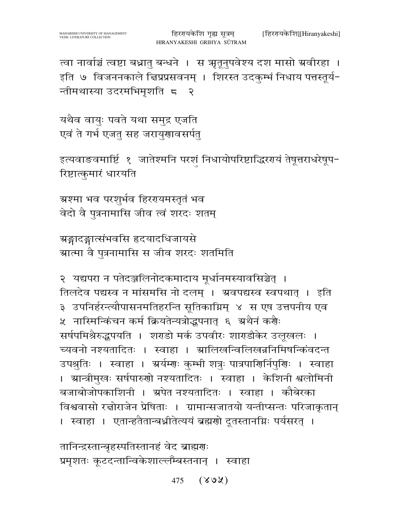त्वा नार्वाञ्चं त्वष्टा बध्नातु बन्धने । स ऋतूनुपवेश्य दश मासो अवीरहा । इति ७ विजननकाले चिप्रप्रसवनम् । शिरस्त उदकुम्भं निधाय पत्तस्तूर्य-न्तीमथास्या उदरमभिमृशति 5  $\overline{\mathcal{R}}$ 

यथैव वायुः पवते यथा समुद्र एजति एवं ते गर्भ एजतु सह जरायुणावसर्पतु

इत्यवाङवमार्ष्टि १ जातेश्मनि परशं निधायोपरिष्टाद्धिरगयं तेषूत्तराधरेषूप-रिष्टात्कुमारं धारयति

ग्रश्मा भव परशुर्भव हिररयमस्तृतं भव वेदो वै पुत्रनामासि जीव त्वं शरदः शतम्

ग्रङ्गादङ्गात्संभवसि हृदयादधिजायसे ग्रात्मा वै पुत्रनामासि स जीव शरदः शतमिति

२ यद्यपरा न पतेदञ्जलिनोदकमादाय मूर्धानमस्यावसिञ्चेत् । तिलदेव पद्यस्व न मांसमसि नो दलम् । अवपद्यस्व स्वपथात् । इति ३ उपनिर्हरन्त्यौपासनमतिहरन्ति सूतिकाग्निम् ४ स एष उत्तपनीय एव ५ नास्मिन्किंचन कर्म क्रियतेन्यत्रोद्धूपनात् ६ ग्रथैनं कर्यैः सर्षपमिश्रैरुद्धपयति । शराडो मर्क उपवीरः शाराडीकेर उलूखलः । च्यवनो नश्यतादितः । स्वाहा । ग्रालिखन्विलिखन्ननिमिषन्किंवदन्त उपश्रुतिः । स्वाहा । ग्रर्यम्णः कुम्भी शत्रुः पात्रपाणिर्निपुणिः । स्वाहा । म्रान्त्रीमुखः सर्षपारुणो नश्यतादितः । स्वाहा । केशिनी श्वलोमिनी बजाबोजोपकाशिनी । अपेत नश्यतादितः । स्वाहा । कौबेरका विश्ववासो रत्नोराजेन प्रेषिताः । ग्रामान्सजातयो यन्तीप्सन्तः परिजाकृतान् । स्वाहा । एतान्हतैतान्बध्नीतेत्ययं ब्रह्मणो दूतस्तानग्निः पर्यसरत् ।

तानिन्द्रस्तान्बृहस्पतिस्तानहं वेद ब्राह्मणः प्रमृशतः कूटदन्तान्विकेशाल्लॉम्बस्तनान् । स्वाहा

> $(XQ)$ 475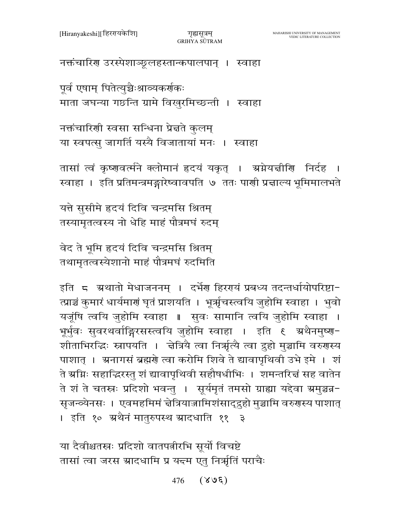नक्तंचारिण उरस्पेशाञ्छूलहस्तान्कपालपान् । स्वाहा

पूर्व एषाम् पितेत्युच्चैःश्राव्यकर्णकः माता जघन्या गछन्ति ग्रामे विखुरमिच्छन्ती । स्वाहा

नक्तंचारिणी स्वसा सन्धिना प्रेत्तते कुलम् या स्वपत्सु जागर्ति यस्यै विजातायां मनः । स्वाहा

तासां त्वं कृष्णवर्त्मने क्लोमानं हृदयं यकृत् । अ्रग्नेयज्ञीणि निर्दह स्वाहा । इति प्रतिमन्त्रमङ्गारेष्वावपति ७ ततः पाणी प्रज्ञाल्य भूमिमालभते

यत्ते सुसीमे हृदयं दिवि चन्द्रमसि श्रितम् तस्यामृतत्वस्य नो धेहि माहं पौत्रमघं रुदम्

वेद ते भूमि हृदयं दिवि चन्द्रमसि श्रितम् तथामृतत्वस्येशानो माहं पौत्रमघं रुदमिति

इति ८ अथातो मेधाजननम् । दर्भेण हिरएयं प्रबध्य तदन्तर्धायोपरिष्टा-त्प्राञ्चं कुमारं धार्यमार्गं घृतं प्राशयति । भूर्ऋचस्त्वयि जुहोमि स्वाहा । भुवो यजूंषि त्वयि जुहोमि स्वाहा ॥ सुवः सामानि त्वयि जुहोमि स्वाहा । भूर्भुवः सुवरथर्वाङ्गिरसस्त्वयि जुहोमि स्वाहा । इति ६ अथैनमुष्ण-शीताभिरद्धिः स्नापयति । चेत्रियै त्वा निर्म्भत्यै त्वा द्रुहो मुञ्चामि वरुगस्य पाशात् । अनागसं ब्रह्मणे त्वा करोमि शिवे ते द्यावापृथिवी उभे इमे । शं ते ग्रग्निः सहाद्धिरस्तु शं द्यावापृथिवी सहौषधीभिः । शमन्तरित्तं सह वातेन ते शं ते चतस्त्रः प्रदिशो भवन्तु । सूर्यमृतं तमसो ग्राह्या यद्देवा ग्रमुञ्चन्न-सृजन्व्येनसः । एवमहमिमं न्नेत्रियाज्जामिशंसाद्द्रुहो मुञ्चामि वरुगस्य पाशात् । इति १० अथैनं मातुरुपस्थ स्रादधाति ११ ३

या दैवीश्चतस्रः प्रदिशो वातपत्नीरभि सूर्यो विचष्टे तासां त्वा जरस ग्रादधामि प्र यद्त्म एतु निर्ऋातं पराचैः

> $(308)$ 476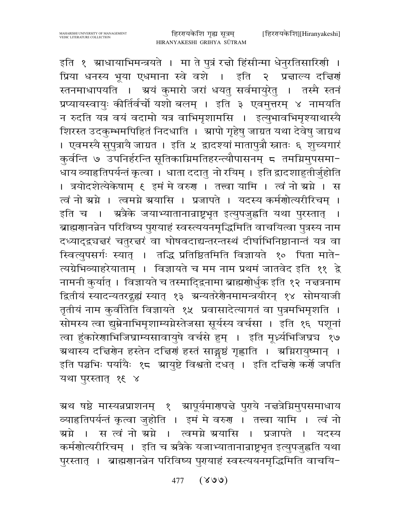इति १ स्राधायाभिमन्त्रयते । मा ते पुत्रं रज्ञो हिंसीन्मा धेनुरतिसारिणी । प्रिया धनस्य भूया एधमाना स्वे वशे । इति २ प्रज्ञाल्य दचिर्ग स्तनमाधापयति । अ्यं कुमारो जरां धयतु सर्वमायुरेतु । तस्मै स्तनं प्रप्यायस्वायुः कीर्तिर्वचों यशो बलम् । इति ३ एवमुत्तरम् ४ नामयति न रुदति यत्र वयं वदामो यत्र वाभिमृशामसि । इत्युभावभिमृश्याथास्यै शिरस्त उदकुम्भमपिहितं निदधाति । श्रापो गृहेषु जाग्रतं यथा देवेषु जाग्रथ । एवमस्यै सुपुत्रायै जाग्रत । इति ५ द्वादश्यां मातापुत्रौ स्नातः ६ शुच्यगारं कुर्वन्ति ७ उपनिर्हरन्ति सूतिकाग्निमतिहरन्त्यौपासनम् ८ तमग्निमुपसमा-धाय व्याहतिपर्यन्तं कृत्वा । धाता ददातु नो रयिम् । इति द्वादशाहुतीर्जुहोति । त्रयोदशेत्येकेषाम् ६ इमं मे वरुण । तत्त्वा यामि । त्वं नो ग्रग्ने । स त्वं नो ग्रग्ने । त्वमग्ने ग्रयासि । प्रजापते । यदस्य कर्मणोत्यरीरिचम् । इति च । अत्रैके जयाभ्यातानान्राष्ट्रभृत इत्युपजुह्वति यथा पुरस्तात् । ब्राह्मणानन्नेन परिविष्य पुरायाहं स्वस्त्ययनमृद्धिमिति वाचयित्वा पुत्रस्य नाम दध्याद्द्र्यज्ञरं चतुरज्ञरं वा घोषवदाद्यन्तरन्तस्थं दीर्घाभिनिष्ठानान्तं यत्र वा स्वित्युपसर्गः स्यात् । तद्धि प्रतिष्ठितमिति विज्ञायते १० पिता माते-त्यग्रेभिव्याहरेयाताम् । विज्ञायते च मम नाम प्रथमं जातवेद इति ११ द्वे नामनी कुर्यात् । विज्ञायते च तस्मादिद्वनामा ब्राह्मणोर्धुक इति १२ नचत्रनाम द्वितीयं स्यादन्यतरदृह्यं स्यात् १३ ग्रन्यतरेरौनमामन्त्रयीरन् १४ सोमयाजी तृतीयं नाम कुर्वतिति विज्ञायते १५ प्रवासादेत्यागतं वा पुत्रमभिमृशति । सोमस्य त्वा द्युम्नेनाभिमृशाम्यग्नेस्तेजसा सूर्यस्य वर्चसा । इति १६ पशूनां त्वा हंकारेणाभिजिघ्राम्यसावायुषे वर्चसे हुम् । इति मूर्ध्यभिजिघ्र्य १७ ग्रथास्य दचिरणेन हस्तेन दचिरणं हस्तं साङ्गष्ठं गृह्णाति । अग्निरायुष्मान् । इति पञ्चभिः पर्यायैः १८ स्रायुष्टे विश्वतो दधत् । इति दच्चिणे कर्णे जपति यथा पुरस्तात् १६ ४

ग्रथ षष्ठे मास्यन्नप्राशनम् १ ग्रापूर्यमारणपत्ने पुराये नत्तत्रेग्निमुपसमाधाय व्याहृतिपर्यन्तं कृत्वा जुहोति । इमं मे वरुण । तत्त्वा यामि । त्वं नो ग्रये । स त्वं नो ग्रये । त्वमग्ने ग्रयासि । प्रजापते  $\blacksquare$ यदस्य कर्मणोत्यरीरिचम् । इति च श्रत्रैके यजाभ्यातानान्राष्ट्रभृत इत्युपजुह्वति यथा पुरस्तात् । ब्राह्मणानन्नेन परिविष्य पुरायाहं स्वस्त्ययनमृद्धिमिति वाचयि-

> $(800)$ 477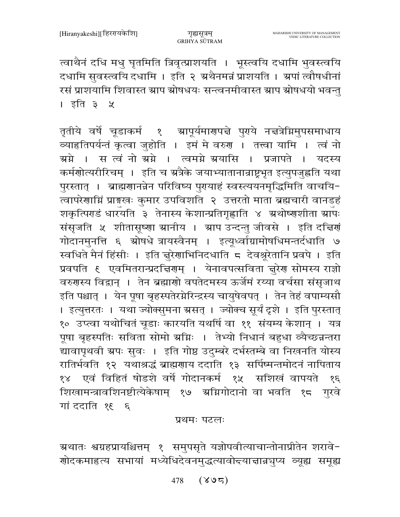त्वाथैनं दधि मधु घृतमिति त्रिवृत्प्राशयति । भूस्त्वयि दधामि भुवस्त्वयि दधामि सुवस्त्वयि दधामि । इति २ अथैनमन्नं प्राशयति । अपां त्वौषधीनां रसं प्राशयामि शिवास्त स्राप स्रोषधयः सन्त्वनमीवास्त स्राप स्रोषधयो भवन्तु । इति ३ ५

तृतीये वर्षे चूडाकर्म १ स्रापूर्यमारणपद्मे पुराये नद्मत्रेग्निमुपसमाधाय व्याहृतिपर्यन्तं कृत्वा जुहोति । इमं मे वरुग । तत्त्वा यामि । त्वं नो ग्र्या । स त्वं नो ग्राग्ने । त्वमग्ने ग्रयासि । प्रजापते । यदस्य कर्मणोत्यरीरिचम् । इति च श्रत्रैके जयाभ्यातानान्राष्ट्रभृत इत्युपजुह्वति यथा पुरस्तात् । ब्राह्मणानन्नेन परिविष्य पुरायाहं स्वस्त्ययनमृद्धिमिति वाचयि-त्वापरेणामिं प्राङ्गखः कुमार उपविशति २ उत्तरतो माता ब्रह्मचारी वानडहं शकृत्पिराडं धारयति ३ तेनास्य केशान्प्रतिगृह्णाति ४ अथोष्णशीता ग्रापः संसृजति ५ शीतासूष्णा ग्रानीय । ग्राप उन्दन्तु जीवसे । इति दचिगं गोदानमुनत्ति ६ स्रोषधे त्रायस्वैनम् । इत्यूर्ध्वाग्रामोषधिमन्तर्दधाति ७ स्वधिते मैनं हिंसीः । इति नुरेणाभिनिदधाति 5 देवश्रूरेतानि प्रवपे । इति प्रवपति ६ एवमितरान्प्रदचिरणम् । येनावपत्सवितां नुरेण सोमस्य राज्ञो वरुगस्य विद्वान् । तेन ब्रह्माणो वपतेदमस्य ऊर्जेमं रय्या वर्चसा संसृजाथ इति पश्चात् । येन पूषा बृहस्पतेरम्नेरिन्द्रस्य चायुषेवपत् । तेन तेहं वपाम्यसौ । इत्युत्तरतः । यथा ज्योक्सुमना ग्रसत् । ज्योक्च सूर्यं दृशे । इति पुरस्तात् १० उप्त्वा यथोचितं चूडाः कारयति यथर्षि वा ११ संयम्य केशान् । यत्र पूषा बृहस्पतिः सविता सोमो स्रग्निः । तेभ्यो निधानं बहुधा व्यैच्छन्नन्तरा द्यावापृथवी ग्रपः सुवः । इति गोष्ठ उदुम्बरे दर्भस्तम्बे वा निखनति योस्य रातिर्भवति १२ यथाश्रद्धं ब्राह्मणाय ददाति १३ सर्पिष्मन्तमोदनं नापिताय १४ एवं विहितं षोडशे वर्षे गोदानकर्म १५ सशिखं वापयते १६ शिखामन्त्रावशिनष्टीत्येकेषाम् १७ अग्निगोदानो वा भवति १८ गुरवे गां ददाति १६ ६

### प्रथमः पटलः

ग्रथातः श्वग्रहप्रायश्चित्तम् १ समुपसृते यज्ञोपवीत्याचान्तोनाप्रीतेन शरावे-<mark>र</mark>्णोदकमाहत्य सभायां मध्येधिदेवनमुद्धत्यावो<del>द</del>याचान्नञुप्य व्यूह्य समूह्य

> $(895)$ 478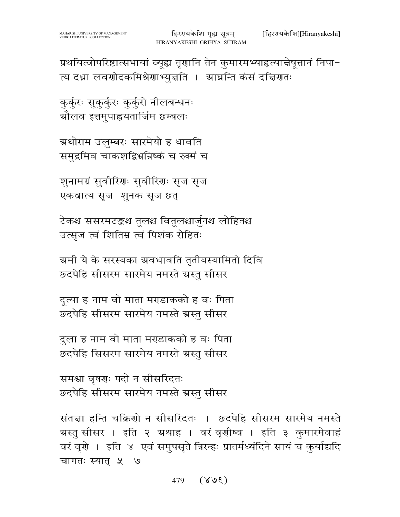संतन्ना हन्ति चक्रिणो न सीसरिदतः । छ्दपेहि सीसरम सारमेय नमस्ते ग्रस्तु सीसर । इति २ ग्रथाह । वरं वृशीष्व । इति ३ कुमारमेवाहं वरं वृशे । इति ४ एवं समुपसृते त्रिरन्हः प्रातर्मध्यंदिने सायं च कुर्याद्यदि चागतः स्यात् ५ ७

समश्वा वृषयाः पदो न सीसरिदतः

छ्दपेहि सीसरम सारमेय नमस्ते ग्रस्तु सीसर

दुला ह नाम वो माता मराडाकको ह वः पिता छ्दपेहि सिसरम सारमेय नमस्ते ग्रस्तु सीसर

दूत्या ह नाम वो माता मराडाकको ह वः पिता छ्दपेहि सीसरम सारमेय नमस्ते ग्रस्तु सीसर

छ्दपेहि सीसरम सारमेय नमस्ते ग्रस्तु सीसर

उत्सृज त्वं शितिम्र त्वं पिशंक रोहितः ग्रमी ये के सरस्यका ग्रवधावति तृतीयस्यामितो दिवि

एकवात्य सृज शुनक सृज छत् टेकश्च ससरमटङ्कश्च तूलश्च वितूलश्चार्जुनश्च लोहितश्च

शुनामग्रं सुवीरिणः सुवीरिणः सृज सृज

ग्रथोराम उलुम्बरः सारमेयो ह धावति समुद्रमिव चाकशद्विभ्रन्निष्कं च रुक्मं च

कुर्कुरः सुकुर्कुरः कुर्कुरो नीलबन्धनः ग्रौलव इत्तमुपाह्नयतार्जिम छम्बलः

प्रथयित्वोपरिष्टात्सभायां व्यूह्य तृणानि तेन कुमारमभ्याहत्याचेषूत्तानं निपा-त्य दध्ना लवणोदकमिश्रेणाभ्युचति । श्राघ्नन्ति कंसं दचिणतः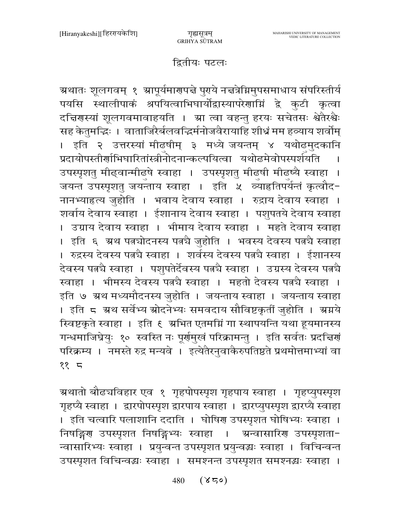## द्वितीयः पटलः

ग्रथातः शूलगवम् १ ग्रापूर्यमार्णपत्ने पुराये नत्तत्रेग्निमुपसमाधाय संपरिस्तीर्य पयसि स्थालीपाकं श्रपयित्वाभिघार्योद्वास्यापरेणाग्निं द्वे कुटी कृत्वा दचिरणस्यां शूलगवमावाहयति । म्रा त्वा वहन्तु हरयः सचेतसः श्वेतैरश्वैः सह केतुमद्भिः । वाताजिरैर्बलवद्धिर्मनोजवैरायाहि शीध्रं मम हव्याय शर्वोम् । इति २ उत्तरस्यां मीढषीम् ३ मध्ये जयन्तम् ४ यथोढमुदकानि प्रदायोपस्तीर्णाभिघारितांस्त्रीनोदनान्कल्पयित्वा यथोढमेवोपस्पर्शयति उपस्पृशतु मीढ्वान्मीढषे स्वाहा । उपस्पृशतु मीढषी मीढष्यै स्वाहा । जयन्त उपस्पृशतु जयन्ताय स्वाहा । इति ५ व्याहृतिपर्यन्तं कृत्वौद-नानभ्याहृत्य जुहोति । भवाय देवाय स्वाहा । रुद्राय देवाय स्वाहा । शर्वाय देवाय स्वाहा । ईशानाय देवाय स्वाहा । पशुपतये देवाय स्वाहा । उग्राय देवाय स्वाहा । भीमाय देवाय स्वाहा । महते देवाय स्वाहा । इति ६ अ्थ पत्नचोदनस्य पत्नचै जुहोति । भवस्य देवस्य पत्नचै स्वाहा । रुद्रस्य देवस्य पत्नचै स्वाहा । शर्वस्य देवस्य पत्नचै स्वाहा । ईशानस्य देवस्य पत्नचै स्वाहा । पशुपतेर्देवस्य पत्नचै स्वाहा । उग्रस्य देवस्य पत्नचै स्वाहा । भीमस्य देवस्य पत्नचै स्वाहा । महतो देवस्य पत्नचै स्वाहा । इति ७ ग्रथ मध्यमौदनस्य जुहोति । जयन्ताय स्वाहा । जयन्ताय स्वाहा । इति ८ अथ सर्वेभ्य स्रोदनेभ्यः समवदाय सौविष्टकृतीं जुहोति । अग्नये स्विष्टकृते स्वाहा । इति ६ अभित एतमग्निं गा स्थापयन्ति यथा हूयमानस्य गन्धमाजिघ्रेयुः १० स्वस्ति नः पूर्णमुखं परिक्रामन्तु । इति सर्वतः प्रदत्तिर्गं परिक्रम्य । नमस्ते रुद्र मन्यवे । इत्येतैरनुवाकैरुपतिष्ठते प्रथमोत्तमाभ्यां वा  $88$  5

ग्र्यातो बौढचविहार एव १ गृहपोपस्पृश गृहपाय स्वाहा । गृहप्युपस्पृश गृहप्यै स्वाहा । द्वारपोपस्पृश द्वारपाय स्वाहा । द्वारप्युपस्पृश द्वारप्यै स्वाहा । इति चत्वारि पलाशानि ददाति । घोषिण उपस्पृशत घोषिभ्यः स्वाहा । निषङ्गिण उपस्पृशत निषङ्गिभ्यः स्वाहा । अन्वासारिण उपस्पृशता-न्वासारिभ्यः स्वाहा । प्रयुन्वन्त उपस्पृशत प्रयुन्वद्धः स्वाहा । विचिन्वन्त उपस्पृशत विचिन्वद्धः स्वाहा । समश्नन्त उपस्पृशत समश्नद्धः स्वाहा ।

> 480  $(\delta \vec{\sigma})$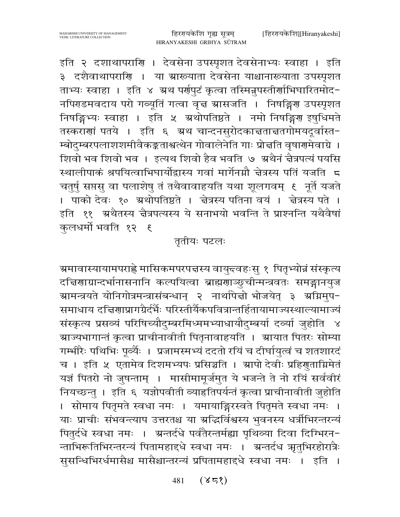इति २ दशाथापराणि । देवसेना उपस्पृशत देवसेनाभ्यः स्वाहा । इति ३ दशैवाथापराणि । या ग्राख्याता देवसेना याश्चानारूयाता उपस्पृशत ताभ्यः स्वाहा । इति ४ अ्रथ पर्णपुटं कृत्वा तस्मिन्नुपस्तीर्णाभिघारितमोद-नपिराडमवदाय परो गव्यूतिं गत्वा वृत्त स्रासजति । निषङ्गिरण उपस्पृशत निषङ्गिभ्यः स्वाहा । इति ५ ग्रथोपतिष्ठते । नमो निषङ्गिण इषुधिमते तस्कराणां पतये । इति ६ अ्थ चान्दनसुरोदकाचताचतगोमयदूर्वास्त-म्बोदुम्बरपलाशशमीवैकङ्कताश्वत्थेन गोवालेनेति गाः प्रोत्तति वृषारामेवाग्रे । शिवो भव शिवो भव । इत्यथ शिवो हैव भवति ७ ग्रथैनं चैत्रपत्यं पयसि स्थालीपाकं श्रपयित्वाभिघार्योद्वास्य गवां मार्गेनग्नौ चेत्रस्य पतिं यजति 5 चतुर्षु सप्तसु वा पलाशेषु तं तथैवावाहयति यथा शूलगवम् ६ नूर्ते यजते । पाको देवः १० अथोपतिष्ठते । चेत्रस्य पतिना वयं । चेत्रस्य पते । इति ११ अथैतस्य चैत्रपत्यस्य ये सनाभयो भवन्ति ते प्राश्नन्ति यथैवैषां कुलधर्मो भवति १२ ६

## तृतीयः पटलः

ग्रमावास्यायामपराह्ने मासिकमपरपद्मस्य वायुद्त्वहःसु १ पितृभ्योन्नं संस्कृत्य दचिणाग्रान्दर्भानासनानि कल्पयित्वा ब्राह्मणाञ्छृचीन्मन्त्रवतः समङ्गानयुज ञ्चामन्त्रयते योनिगोत्रमन्त्रासंबन्धान् २ नार्थापेत्तो भोजयेत् ३ अग्निमुप− समाधाय दत्तिरााप्रागग्रैर्दर्भैः परिस्तीर्यैकपवित्रान्तर्हितायामाज्यस्थाल्यामाज्यं संस्कृत्य प्रसव्यं परिषिच्यौदुम्बरमिध्ममभ्याधायौदुम्बर्या दव्या जुहोति ४ ग्राज्यभागान्तं कृत्वा प्राचीनावीती पितृनावाहयति । भ्रायात पितरः सोम्या गर्भारैः पथिभिः पूर्व्यैः । प्रजामस्मभ्यं ददतो रयिं च दीर्घायुत्वं च शतशारदं च । इति ५ एतामेव दिशमभ्यपः प्रसिञ्चति । स्रापो देवीः प्रहिगुताग्निमेतं यज्ञं पितरो नो जुषन्ताम् । मासीमामूर्जमुत ये भजन्ते ते नो रयिं सर्ववीरं नियच्छन्तु । इति ६ यज्ञोपवीती व्याहृतिपर्यन्तं कृत्वा प्राचीनावीती जुहोति । सोमाय पितृमते स्वधा नमः । यमायाङ्गिरस्वते पितृमते स्वधा नमः । याः प्राचीः संभवन्त्याप उत्तरतश्च या म्रद्धिर्विश्वस्य भुवनस्य धर्त्रीभिरन्तरन्यं पितुर्दधे स्वधा नमः । अन्तर्दधे पर्वतैरन्तर्मह्या पृथिव्या दिवा दिग्भिरन-न्ताभिरूतिभिरन्तरन्यं पितामहाद्दधे स्वधा नमः । अन्तर्दध ऋतुभिरहोरात्रैः सुसन्धिभिरर्धमासैश्च मासैश्चान्तरन्यं प्रपितामहाद्दधे स्वधा नमः । इति ।

> 481  $(\gamma$ 52)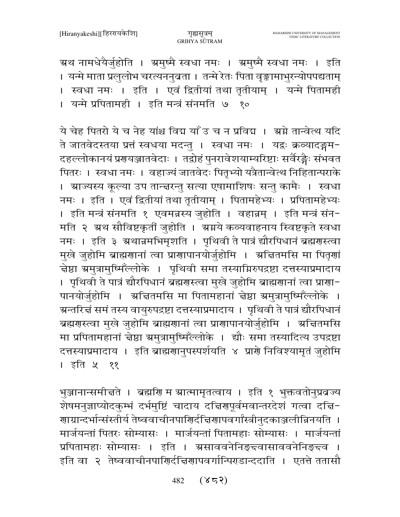ग्रथ नामधेयैर्जुहोति । ग्रमुष्मै स्वधा नमः । ग्रमुष्मै स्वधा नमः । इति । यन्मे माता प्रलुलोभ चरत्यननुबता । तन्मे रेतः पिता वृङ्कामाभुरन्योपपद्यताम् । स्वधा नमः । इति । एवं द्वितीयां तथा तृतीयाम् । यन्मे पितामही । यन्मे प्रपितामही । इति मन्त्रं संनमति ७  $\sqrt{8}$ 

ये चेह पितरो ये च नेह यांश्च विद्य याँ उ च न प्रविद्य । अ्रमे तान्वेत्थ यदि ते जातवेदस्तया प्रत्तं स्वधया मदन्तु । स्वधा नमः । यद्वः क्रव्यादङ्गम-दहल्लोकानयं प्रगयञ्जातवेदाः । तद्रोहं पुनरावेशयाम्यरिष्टाः सर्वैरङ्गैः संभवत पितरः । स्वधा नमः । वहाज्यं जातवेदः पितृभ्यो यत्रैतान्वेत्थ निहितान्पराके । ग्राज्यस्य कूल्या उप तान्त्वरन्तु सत्या एषामाशिषः सन्तु कामैः । स्वधा नमः । इति । एवं द्वितीयां तथा तृतीयाम् । पितामहेभ्यः । प्रपितामहेभ्यः । इति मन्त्रं संनमति १ एवमन्नस्य जुहोति । वहान्नम् । इति मन्त्रं संन-मति २ अ्रथ सौविष्टकृतीं जुहोति । अप्रये कव्यवाहनाय स्विष्टकृते स्वधा नमः । इति ३ अथान्नमभिमृशति । पृथिवी ते पात्रं द्यौरपिधानं ब्रह्मणस्त्वा मुखे जुहोमि ब्राह्मणानां त्वा प्राणापानयोर्जुहोमि । अचितमसि मा पितृणां .<br>बेष्ठा ग्रमुत्रामुष्मिँल्लोके । पृथिवी समा तस्याग्निरुपद्रष्टा दत्तस्याप्रमादाय । पृथिवी ते पात्रं द्यौरपिधानं ब्रह्मगस्त्वा मुखे जुहोमि ब्राह्मगानां त्वा प्रागा-पानयोर्जुहोमि । अचितमसि मा पितामहानां चेष्ठा अमुत्रामुष्मिँल्लोके । ग्रन्तरित्तं समं तस्य वायुरुपद्रष्टा दत्तस्याप्रमादाय । पृथिवी ते पात्रं द्यौरपिधानं ब्रह्मणस्त्वा मुखे जुहोमि ब्राह्मणानां त्वा प्राणापानयोर्जुहोमि । अचितमसि मा प्रपितामहानां न्नेष्ठा ग्रमुत्रामुष्मिँल्लोके । द्यौः समा तस्यादित्य उपद्रष्टा दत्तस्याप्रमादाय । इति ब्राह्मणानुपस्पर्शयति ४ प्राणे निविश्यामृतं जुहोमि । इति ५ ११

भुञ्जानान्समीचते । ब्रह्मणि म स्रात्मामृतत्वाय । इति १ भुक्तवतोनुप्रवज्य शेषमनुज्ञाप्योदकुम्भं दर्भमुष्टिं चादाय दचिरणपूर्वमवान्तरदेशं गत्वा दचि-गाग्रान्दर्भान्संस्तीर्य तेष्ववाचीनपागिर्दचिगापवर्गांस्त्रीनुदकाञ्जलीचिनयति । मार्जयन्तां पितरः सोम्यासः । मार्जयन्तां पितामहाः सोम्यासः । मार्जयन्तां प्रपितामहाः सोम्यासः । इति । ग्रसाववनेनिङ्क्वासाववनेनिङ्क्व । इति वा २ तेष्ववाचीनपाणिर्दचिणापवर्गान्पिराडान्ददाति । एतत्ते ततासौ

> $(85)$ 482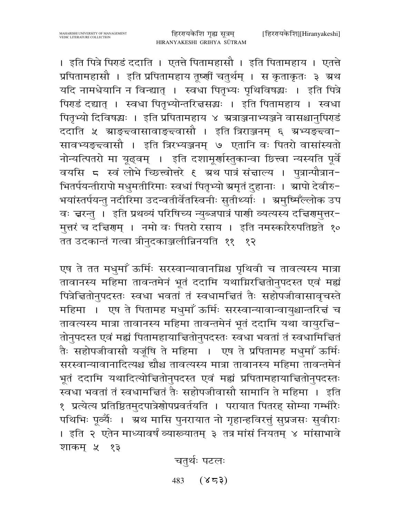। इति पित्रे पिराडं ददाति । एतत्ते पितामहासौ । इति पितामहाय । एतत्ते प्रपितामहासौ । इति प्रपितामहाय तूष्णीं चतुर्थम् । स कृताकृतः ३ ग्रथ यदि नामधेयानि न विन्द्यात् । स्वधा पितृभ्यः पृथिविषद्धः । इति पित्रे पिराडं दद्यात् । स्वधा पितृभ्योन्तरित्तसद्धः । इति पितामहाय । स्वधा पितृभ्यो दिविषद्धः । इति प्रपितामहाय ४ ग्रत्राञ्जनाभ्यञ्जने वासश्चानुपिराडं ददाति ५ स्राङ्च्वासावाङ्च्वासौ । इति त्रिराञ्जनम् ६ स्रभ्यङ्च्वा-सावभ्यङ्क्वासौ । इति त्रिरभ्यञ्जनम् ७ एतानि वः पितरो वासांस्यतो नोन्यत्पितरो मा यूढ्वम् । इति दशामूर्णास्तुकान्वा छित्त्वा न्यस्यति पूर्वे वयसि ८ स्वं लोभे च्छित्त्वोत्तरे ६ ग्रथ पात्रं संज्ञाल्य । पुत्रान्पौत्रान-भितर्पयन्तीरापो मधुमतीरिमाः स्वधां पितृभ्यो ग्रमृतं दुहानाः । ग्रापो देवीरु-भयांस्तर्पयन्तु नदीरिमा उदन्वतीर्वेतस्विनीः सुतीर्थ्याः । अ्मृष्मिँल्लोक उप वः चरन्तु । इति प्रथव्यं परिषिच्य न्युब्जपात्रं पाणी व्यत्यस्य दच्चिणमुत्तर-मुत्तरं च दचिरणम् । नमो वः पितरो रसाय । इति नमस्कारैरुपतिष्ठते १० तत उदकान्तं गत्वा त्रीनुदकाञ्जलीच्निनयति ११ १२

एष ते तत मधुमाँ ऊर्मिः सरस्वान्यावानग्निश्च पृथिवी च तावत्यस्य मात्रा तावानस्य महिमा तावन्तमेनं भूतं ददामि यथाग्निरचितोनुपदस्त एवं मह्यं पित्रेन्नितोनुपदस्तः स्वधा भवतां तं स्वधामन्नितं तैः सहोपजीवासावृचस्ते महिमा । एष ते पितामह मधुमाँ ऊर्मिः सरस्वान्यावान्वायुश्चान्तरित्तं च तावत्यस्य मात्रा तावानस्य महिमा तावन्तमेनं भूतं ददामि यथा वायुरचि-तोनुपदस्त एवं मह्यं पितामहायाचितोनुपदस्तः स्वधा भवतां तं स्वधामिचितं तैः सहोपजीवासौ यजूंषि ते महिमा । एष ते प्रपितामह मधुमाँ ऊर्मिः सरस्वान्यावानादित्यश्च द्यौश्च तावत्यस्य मात्रा तावानस्य महिमा तावन्तमेनं भूतं ददामि यथादित्योचितोनुपदस्त एवं मह्यं प्रपितामहायाचितोनुपदस्तः स्वधा भवतां तं स्वधामचितं तैः सहोपजीवासौ सामानि ते महिमा । इति १ प्रत्येत्य प्रतिष्ठितमुदपात्रेणोपप्रवर्तयति । परायात पितरह सोम्या गर्भ्भारैः पथिभिः पूर्व्यैः । अथ मासि पुनरायात नो गृहान्हविरत्तुं सुप्रजसः सुवीराः । इति २ एतेन माध्यावर्षं व्याख्यातम् ३ तत्र मांसं नियतम् ४ मांसाभावे शाकम् ५ १३

चतुर्थः पटलः

 $(853)$ 483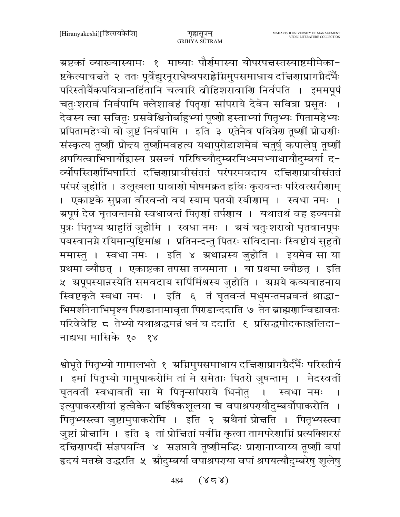ग्रष्टकां व्याख्यास्यामः १ माघ्याः पौर्णमास्या योपरपत्तस्तस्याष्टमीमेका-ष्टकेत्याचत्तते २ ततः पूर्वेद्युरनूराधेष्वपराह्लेग्निमुपसमाधाय दत्तिणाप्रागग्नैर्दर्भैः परिस्तीर्यैकपवित्रान्तर्हितानि चत्वारि व्रीहिशरावाणि निर्वपति । इममपूपं चतुःशरावं निर्वपामि क्लेशावहं पितृणां सांपराये देवेन सवित्रा प्रसूतः । देवस्य त्वा सवितुः प्रसवेश्विनोर्बाहुभ्यां पूष्णो हस्ताभ्यां पितृभ्यः पितामहेभ्यः प्रपितामहेभ्यो वो जुष्टं निर्वपामि । इति ३ एतेनैव पवित्रेण तूष्णीं प्रोत्तर्णाः संस्कृत्य तूष्णीं प्रोद्त्य तूष्णीमवहत्य यथापुरोडाशमेवं चतुर्षु कपालेषु तूष्णीं श्रपयित्वाभिघार्योद्वास्य प्रसव्यं परिषिच्यौदुम्बरमिध्ममभ्याधायौदुम्बर्या द− व्योपस्तिर्णाभिघारितं दच्चिरणाप्राचीसंततं परंपरमवदाय दच्चिरणाप्राचीसंततं परंपरं जुहोति । उलूखला ग्रावाणो घोषमक्रत हविः कृगवन्तः परिवत्सरीगाम् । एकाष्टके सुप्रजा वीरवन्तो वयं स्याम पतयो रयीणाम् । स्वधा नमः । ग्रपूपं देव घृतवन्तमग्ने स्वधावन्तं पितॄणां तर्पणाय । यथातथं वह हव्यमग्ने पुत्रः पितृभ्य स्राहुतिं जुहोमि । स्वधा नमः । ग्रयं चतुःशरावो घृतवानपूपः पयस्वानमे रयिमान्पुष्टिमांश्च । प्रतिनन्दन्तु पितरः संविदानाः स्विष्टोयं सुहुतो ममास्तु । स्वधा नमः । इति ४ ग्रथान्नस्य जुहोति । इयमेव सा या प्रथमा व्यौछत् । एकाष्टका तपसा तप्यमाना । या प्रथमा व्यौछत् । इति ५ अपूपस्यान्नस्येति समवदाय सर्पिर्मिश्रस्य जुहोति । अग्नये कव्यवाहनाय स्विष्टकृते स्वधा नमः । इति ६ तं घृतवन्तं मधुमन्तमन्नवन्तं श्राद्धा− भिमर्शनेनाभिमृश्य पिराडानामावृता पिराडान्ददाति ७ तेन ब्राह्मर्णान्विद्यावतः परिवेवेष्टि ८ तेभ्यो यथाश्रद्धमन्नं धनं च ददाति १ प्रसिद्धमोदकाञ्जलिदा-नाद्यथा मासिके १०  $8\overline{X}$ 

श्वोभूते पितृभ्यो गामालभते १ अग्निमुपसमाधाय दच्चिणाप्रागग्रैर्दर्भैः परिस्तीर्य । इमां पितृभ्यो गामुपाकरोमि तां मे समेताः पितरो जुषन्ताम् । मेदस्वतीं घृतवतीं स्वधावतीं सा मे पितृन्सांपराये धिनोतु । स्वधा नमः  $\blacksquare$ इत्युपाकरणीयां हुत्वैकेन बर्हिषैकशूलया च वपाश्रपरयौदुम्बर्योपाकरोति । पितृभ्यस्त्वा जुष्टामुपाकरोमि । इति २ अथैनां प्रोत्तति । पितृभ्यस्त्वा जुष्टां प्रोन्नामि । इति ३ तां प्रोन्नितां पर्यमि कृत्वा तामपरेणाम्निं प्रत्यक्शिरसं दचिणापदीं संज्ञपयन्ति ४ सज्ञप्तायै तूष्णीमद्भिः प्राणानाप्याय्य तूष्णीं वर्पा हृदयं मतस्ने उद्धरति ५ औदुम्बर्या वपाश्रपराया वपां श्रपयत्यौदुम्बरेषु शूलेषु

> $(858)$ 484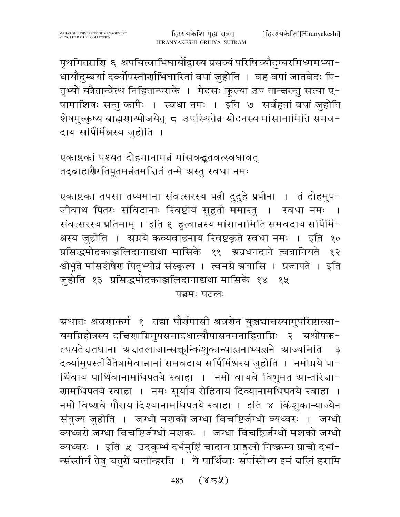पृथगितराणि ६ श्रपयित्वाभिघार्योद्वास्य प्रसव्यं परिषिच्यौदुम्बरमिध्ममभ्या-धायौदुम्बर्या दर्व्योपस्तीर्णाभिघारितां वपां जुहोति । वह वपां जातवेदः पि-तृभ्यो यत्रैतान्वेत्थ निहितान्पराके । मेदसः कूल्या उप तान्द्वरन्तु सत्या ए-षामाशिषः सन्तु कामैः । स्वधा नमः । इति ७ सर्वहुतां वपां जुहोति शेषमुत्कृष्य ब्राह्मणान्भोजयेत् 5 उपस्थितेन्न स्रोदनस्य मांसानामिति समव-दाय सर्पिर्मिश्रस्य जुहोति ।

एकाष्टकां पश्यत दोहमानामन्नं मांसवद्धतवत्स्वधावत् तद्ब्राह्मशैरतिपूतमन्नंतमचितं तन्मे ग्रस्तु स्वधा नमः

एकाष्टका तपसा तप्यमाना संवत्सरस्य पत्नी दुदुहे प्रपीना । तं दोहमुप-जीवाथ पितरः संविदानाः स्विष्टोयं सुहुतो ममास्तु । स्वधा नमः संवत्सरस्य प्रतिमाम् । इति ६ हुत्वान्नस्य मांसानामिति समवदाय सर्पिर्मि-श्रस्य जुहोति । ग्रग्नये कव्यवाहनाय स्विष्टकृते स्वधा नमः । इति १० प्रसिद्धमोदकाञ्जलिदानाद्यथा मासिके ११ अन्नधनदाने त्वत्रानियते  $85$ श्वोभूते मांसशेषेण पितृभ्योन्नं संस्कृत्य । त्वमग्ने ग्रयासि । प्रजापते । इति जुहोति १३ प्रसिद्धमोदकाञ्जलिदानाद्यथा मासिके १४ १५

पञ्चमः पटलः

ग्रथातः श्रवणाकर्म १ तद्या पौर्णमासी श्रवणेन युञ्जघात्तस्यामुपरिष्टात्सा− यमग्निहोत्रस्य दचिरणाग्निमुपसमादधात्यौपासनमनाहिताग्निः २ अथोपक-ल्पयतेत्ततधाना ग्रज्ञतलाजान्सक्तून्किंशुकान्याञ्जनाभ्यञ्जने ग्राज्यमिति  $\vec{z}$ दव्यामुपस्तीर्यैतेषामेवान्नानां समवदाय सर्पिर्मिश्रस्य जुहोति । नमोग्नये पा-थिंवाय पार्थिवानामधिपतये स्वाहा । नमो वायवे विभुमत स्रान्तरिज्ञा-गामधिपतये स्वाहा । नमः सूर्याय रोहिताय दिव्यानामधिपतये स्वाहा । नमो विष्णवे गौराय दिश्यानामधिपतये स्वाहा । इति ४ किंशुकान्याज्येन संयुज्य जुहोति । जग्धो मशको जग्धा विचष्टिर्जग्धो व्यध्वरः । जग्धो व्यध्वरो जग्धा विचष्टिर्जग्धो मशकः । जग्धा विचष्टिर्जग्धो मशको जग्धो व्यध्वरः । इति ५ उदकुम्भं दर्भमुष्टिं चादाय प्राङ्मखो निष्क्रम्य प्राचो दर्भा-न्संस्तीर्य तेषु चतुरो बलीन्हरति । ये पार्थिवाः सर्पास्तेभ्य इमं बलिं हरामि

> $(85%)$ 485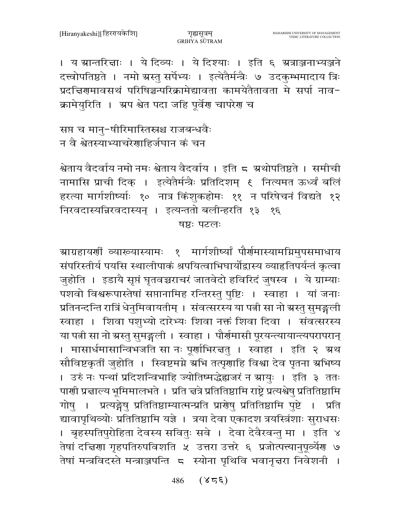। य ग्रान्तरित्ताः । ये दिव्यः । ये दिश्याः । इति ६ ग्रत्राञ्जनाभ्यञ्जने दत्त्वोपतिष्ठते । नमो ग्रस्तु सर्पेभ्यः । इत्येतैर्मन्त्रैः ७ उदकुम्भमादाय त्रिः प्रदत्तिरामावसथं परिषिञ्चन्परिक्रामेद्यावता कामयेतैतावता मे सर्पा नाव-क्रामेयुरिति । अप श्वेत पदा जहि पूर्वेश चापरेश च

सप्त च मानु-षीरिमास्तिस्रश्च राजबन्धवैः न वै श्वेतस्याभ्याचरेणाहिर्जघान कं चन

श्वेताय वैदर्वाय नमो नमः श्वेताय वैदर्वाय । इति ८ ग्रथोपतिष्ठते । समीची नामासि प्राची दिक् । इत्येतैर्मन्त्रैः प्रतिदिशम् ६ नित्यमत ऊर्ध्वं बलिं हरत्या मार्गशीर्ष्याः १० नात्र किंशुकहोमः ११ न परिषेचनं विद्यते १२ निरवदास्यन्निरवदास्यन् । इत्यन्ततो बलीन्हरति १३  $\mathcal{S}\mathcal{E}$ षष्ठः पटलः

ग्राग्रहायर्णी व्याख्यास्यामः १ मार्गशीर्ष्यां पौर्णमास्यामग्निमुपसमाधाय संपरिस्तीर्य पयसि स्थालीपाकं श्रपयित्वाभिघार्योद्वास्य व्याहृतिपर्यन्तं कृत्वा जुहोति । इडायै सृप्तं घृतवच्चराचरं जातवेदो हविरिदं जुषस्व । ये ग्राम्याः पशवो विश्वरूपास्तेषां सप्तानामिह रन्तिरस्तु पुष्टिः । स्वाहा । यां जनाः प्रतिनन्दन्ति रात्रिं धेनुमिवायतीम् । संवत्सरस्य या पत्नी सा नो ग्रस्तु सुमङ्गली स्वाहा । शिवा पशुभ्यो दारेभ्यः शिवा नक्तं शिवा दिवा । संवत्सरस्य या पत्नी सा नो ग्रस्तु सुमङ्गली । स्वाहा । पौर्णमासी पूरयन्त्यायान्त्यपरापरान् । मासार्धमासान्विभजति सा नः पूर्णाभिरत्ततु । स्वाहा । इति २ ग्रथ सौविष्टकृतीं जुहोति । स्विष्टमग्ने ग्रभि तत्पृणाहि विश्वा देव पृतना ग्रभिष्य । उरुं नः पन्थां प्रदिशन्विभाहि ज्योतिष्मद्धेह्यजरं न म्रायुः । इति ३ ततः पाणी प्रचाल्य भूमिमालभते । प्रति चत्रे प्रतितिष्ठामि राष्ट्रे प्रत्यश्वेषु प्रतितिष्ठामि गोषु । प्रत्यङ्गेषु प्रतितिष्ठाम्यात्मन्प्रति प्रारोषु प्रतितिष्ठामि पुष्टे । प्रति द्यावापृथिव्योः प्रतितिष्ठामि यज्ञे । त्रया देवा एकादश त्रयस्त्रिंशाः सुराधसः । बृहस्पतिपुरोहिता देवस्य सवितुः सवे । देवा देवैरवन्तु मा । इति ४ तेषां दच्चिणा गृहपतिरुपविशति ५ उत्तरा उत्तरे ६ प्रजोत्पत्त्यानुपूर्व्येण ७ तेषां मन्त्रविदस्ते मन्त्राञ्जपन्ति 5 स्योना पृथिवि भवानृत्तरा निवेशनी ।

> $(855)$ 486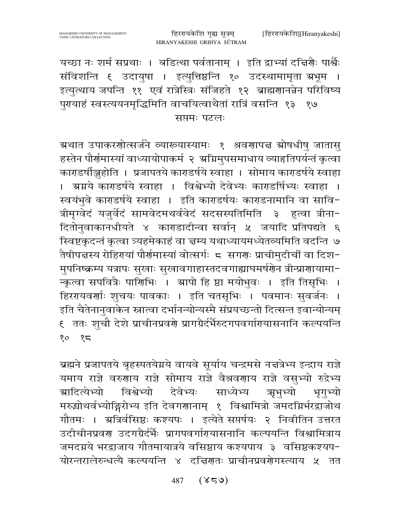यच्छा नः शर्म सप्रथाः । बडित्था पर्वतानाम् । इति द्वाभ्यां दच्चिर्णैः पार्श्वैः संविशन्ति १ उदायुषा । इत्युत्तिष्ठन्ति १० उदस्थामामृता ग्रभूम । इत्युत्थाय जपन्ति ११ एवं रात्रेस्त्रिः संजिहते १२ ब्राह्मणानन्नेन परिविष्य पुरायाहं स्वस्त्ययनमृद्धिमिति वाचयित्वाथैतां रात्रिं वसन्ति १३ १७ सप्तमः पटलः

ग्रथात उपाकरणोत्सर्जने व्याख्यास्यामः १ श्रवणापत्त स्रोषधीषु जातासु हस्तेन पौर्णमास्यां वाध्यायोपाकर्म २ अग्निमुपसमाधाय व्याहृतिपर्यन्तं कृत्वा काराडर्षीञ्जुहोति । प्रजापतये काराडर्षये स्वाहा । सोमाय काराडर्षये स्वाहा । अग्नये काराडर्षये स्वाहा । विश्वेभ्यो देवेभ्यः काराडर्षिभ्यः स्वाहा । स्वयंभुवे काराडर्षये स्वाहा । इति काराडर्षयः काराडनामानि वा सावि-त्रीमृग्वेदं यजुर्वेदं सामवेदमथर्ववेदं सदसस्पतिमिति ३ हत्वा त्रीना-दितोनुवाकानधीयते ४ कारडादीन्वा सर्वान् *५* जयादि प्रतिपद्यते ६ स्विष्टकृदन्तं कृत्वा त्र्यहमेकाहं वा त्तम्य यथाध्यायमध्येतव्यमिति वदन्ति ७ तैषीपत्तस्य रोहिरायां पौर्णमास्यां वोत्सर्गः ८ सगराः प्राचीमुदीचीं वा दिश-मुपनिष्क्रम्य यत्रापः सुखाः सुखावगाहास्तदवगाह्याघमर्षणेन त्रीन्प्राणायामा− न्कृत्वा सपवित्रैः पारिाभिः । स्रापो हि ष्ठा मयोभुवः । इति तिसृभिः । हिररयवर्णाः शुचयः पावकाः । इति चतसृभिः । पवमानः सुवर्जनः । इति चैतेनानुवाकेन स्नात्वा दर्भानन्योन्यस्मै संप्रयच्छन्तो दित्सन्त इवान्योन्यम् <u>६ ततः शुचौ देशे प्राचीनप्रवर्णे प्रागग्रैर्दर्भैरुदगपवर्गागयासनानि कल्पयन्ति</u> १० १८

ब्रह्मने प्रजापतये बृहस्पतयेग्नये वायवे सूर्याय चन्द्रमसे नत्तत्रेभ्य इन्द्राय राज्ञे यमाय राज्ञे वरुणाय राज्ञे सोमाय राज्ञे वैश्रवणाय राज्ञे वसुभ्यो रुद्रेभ्य ॠभूभ्यो ग्रादित्येभ्यो विश्वेभ्यो देवेभ्यः साध्येभ्य भगभ्यो मरुद्योथर्वभ्योङ्गिरोभ्य इति देवगणानाम् १ विश्वामित्रो जमदग्निर्भरद्वाजोथ गौतमः । अत्रिर्वसिष्ठः कश्यपः । इत्येते सप्तर्षयः २ निवीतिन उत्तरत उदीचीनप्रवण् उदगग्रैर्दर्भैः प्रागपवर्गागययासनानि कल्पयन्ति विश्वामित्राय जमदग्नये भरद्वाजाय गौतमायात्रये वसिष्ठाय कश्यपाय ३ वसिष्ठकश्यप-योरन्तरालेरुन्धत्यै कल्पयन्ति ४ दचिरणतः प्राचीनप्रवर्णेगस्त्याय ५ तत

> 487  $(859)$